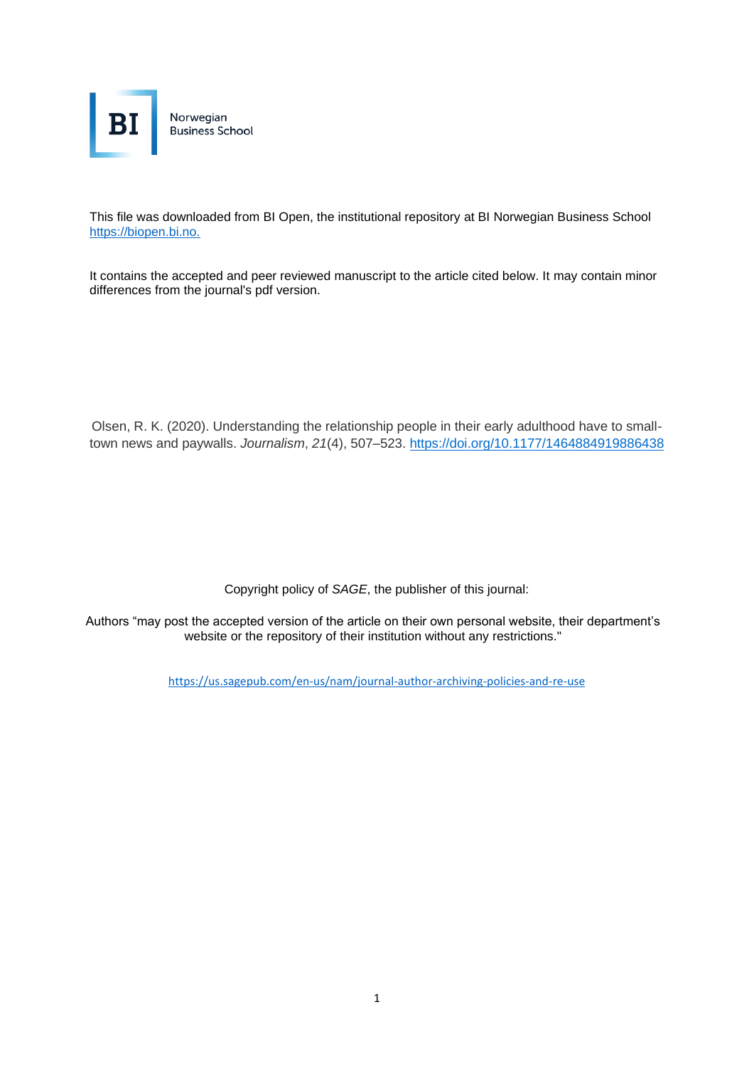

This file was downloaded from BI Open, the institutional repository at BI Norwegian Business School [https://biopen.bi.no.](https://biopen.bi.no./)

It contains the accepted and peer reviewed manuscript to the article cited below. It may contain minor differences from the journal's pdf version.

Olsen, R. K. (2020). Understanding the relationship people in their early adulthood have to smalltown news and paywalls. *Journalism*, *21*(4), 507–523. <https://doi.org/10.1177/1464884919886438>

Copyright policy of *SAGE*, the publisher of this journal:

Authors "may post the accepted version of the article on their own personal website, their department's website or the repository of their institution without any restrictions."

<https://us.sagepub.com/en-us/nam/journal-author-archiving-policies-and-re-use>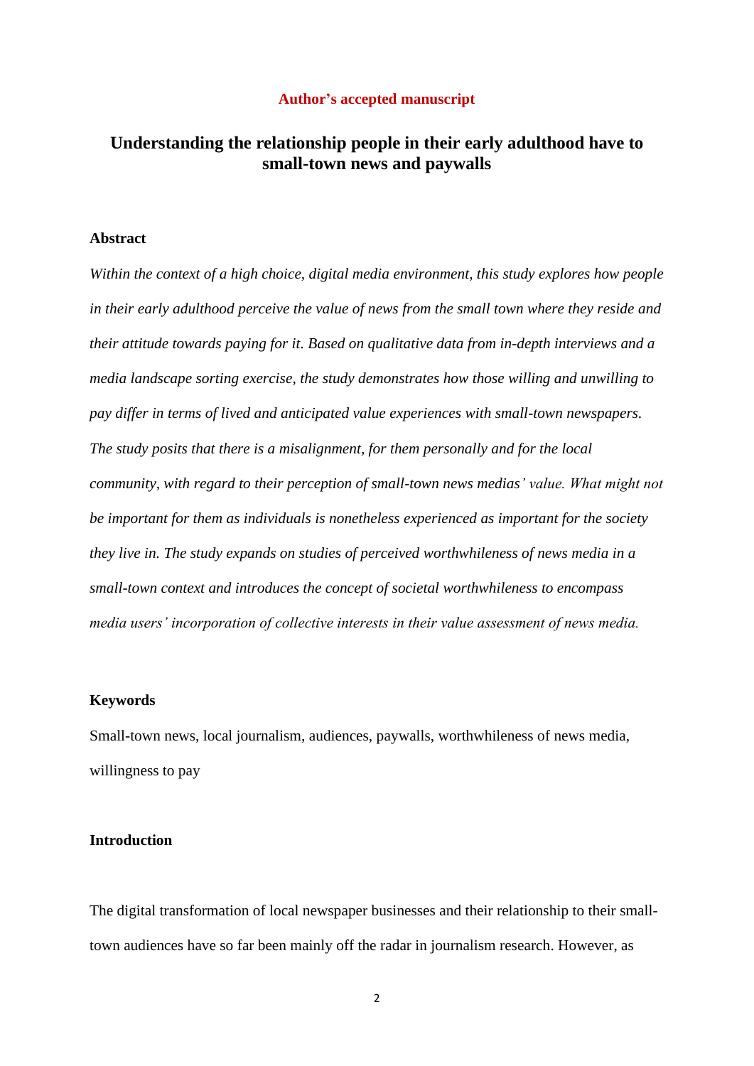#### **Author's accepted manuscript**

# **Understanding the relationship people in their early adulthood have to small-town news and paywalls**

# **Abstract**

*Within the context of a high choice, digital media environment, this study explores how people in their early adulthood perceive the value of news from the small town where they reside and their attitude towards paying for it. Based on qualitative data from in-depth interviews and a media landscape sorting exercise, the study demonstrates how those willing and unwilling to pay differ in terms of lived and anticipated value experiences with small-town newspapers. The study posits that there is a misalignment, for them personally and for the local community, with regard to their perception of small-town news medias' value. What might not be important for them as individuals is nonetheless experienced as important for the society they live in. The study expands on studies of perceived worthwhileness of news media in a small-town context and introduces the concept of societal worthwhileness to encompass media users' incorporation of collective interests in their value assessment of news media.* 

#### **Keywords**

Small-town news, local journalism, audiences, paywalls, worthwhileness of news media, willingness to pay

# **Introduction**

The digital transformation of local newspaper businesses and their relationship to their smalltown audiences have so far been mainly off the radar in journalism research. However, as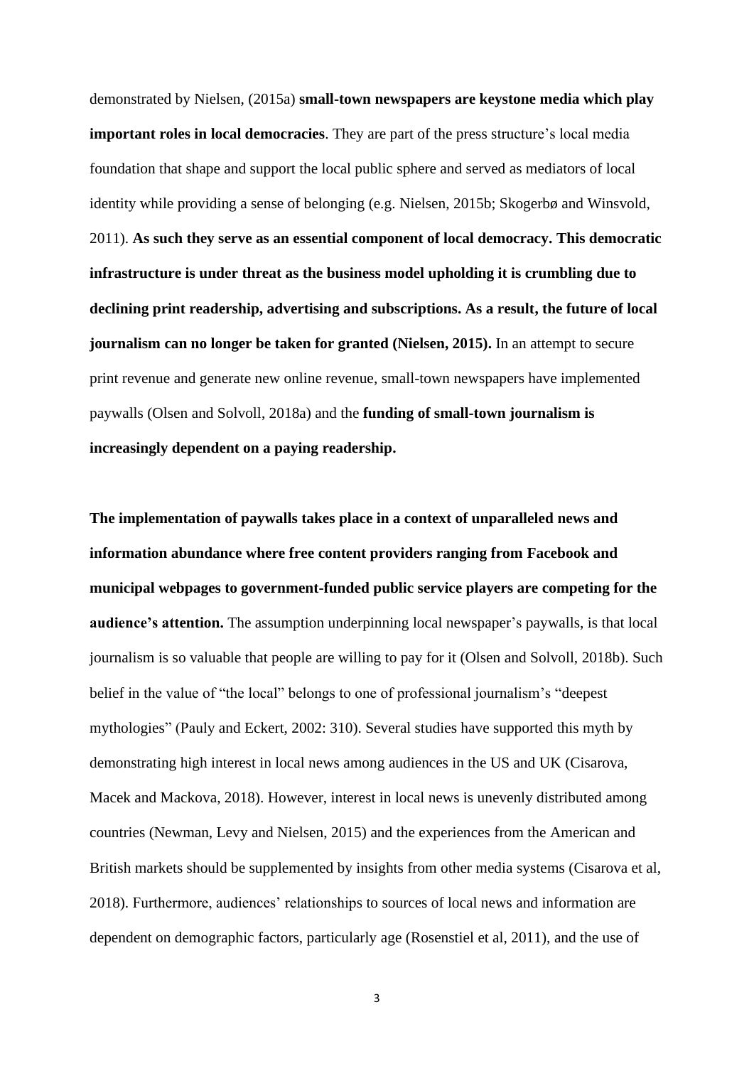demonstrated by Nielsen, (2015a) **small-town newspapers are keystone media which play important roles in local democracies**. They are part of the press structure's local media foundation that shape and support the local public sphere and served as mediators of local identity while providing a sense of belonging (e.g. Nielsen, 2015b; Skogerbø and Winsvold, 2011). **As such they serve as an essential component of local democracy. This democratic infrastructure is under threat as the business model upholding it is crumbling due to declining print readership, advertising and subscriptions. As a result, the future of local journalism can no longer be taken for granted (Nielsen, 2015).** In an attempt to secure print revenue and generate new online revenue, small-town newspapers have implemented paywalls (Olsen and Solvoll, 2018a) and the **funding of small-town journalism is increasingly dependent on a paying readership.**

**The implementation of paywalls takes place in a context of unparalleled news and information abundance where free content providers ranging from Facebook and municipal webpages to government-funded public service players are competing for the audience's attention.** The assumption underpinning local newspaper's paywalls, is that local journalism is so valuable that people are willing to pay for it (Olsen and Solvoll, 2018b). Such belief in the value of "the local" belongs to one of professional journalism's "deepest mythologies" (Pauly and Eckert, 2002: 310). Several studies have supported this myth by demonstrating high interest in local news among audiences in the US and UK (Cisarova, Macek and Mackova, 2018). However, interest in local news is unevenly distributed among countries (Newman, Levy and Nielsen, 2015) and the experiences from the American and British markets should be supplemented by insights from other media systems (Cisarova et al, 2018). Furthermore, audiences' relationships to sources of local news and information are dependent on demographic factors, particularly age (Rosenstiel et al, 2011), and the use of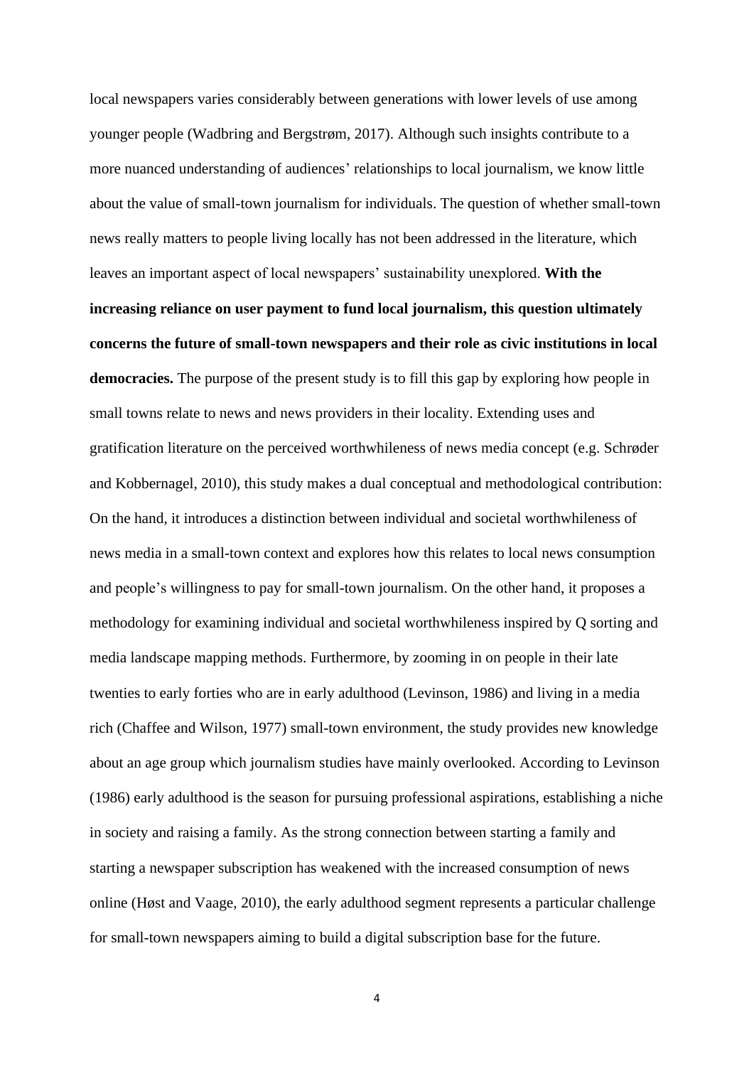local newspapers varies considerably between generations with lower levels of use among younger people (Wadbring and Bergstrøm, 2017). Although such insights contribute to a more nuanced understanding of audiences' relationships to local journalism, we know little about the value of small-town journalism for individuals. The question of whether small-town news really matters to people living locally has not been addressed in the literature, which leaves an important aspect of local newspapers' sustainability unexplored. **With the increasing reliance on user payment to fund local journalism, this question ultimately concerns the future of small-town newspapers and their role as civic institutions in local democracies.** The purpose of the present study is to fill this gap by exploring how people in small towns relate to news and news providers in their locality. Extending uses and gratification literature on the perceived worthwhileness of news media concept (e.g. Schrøder and Kobbernagel, 2010), this study makes a dual conceptual and methodological contribution: On the hand, it introduces a distinction between individual and societal worthwhileness of news media in a small-town context and explores how this relates to local news consumption and people's willingness to pay for small-town journalism. On the other hand, it proposes a methodology for examining individual and societal worthwhileness inspired by Q sorting and media landscape mapping methods. Furthermore, by zooming in on people in their late twenties to early forties who are in early adulthood (Levinson, 1986) and living in a media rich (Chaffee and Wilson, 1977) small-town environment, the study provides new knowledge about an age group which journalism studies have mainly overlooked. According to Levinson (1986) early adulthood is the season for pursuing professional aspirations, establishing a niche in society and raising a family. As the strong connection between starting a family and starting a newspaper subscription has weakened with the increased consumption of news online (Høst and Vaage, 2010), the early adulthood segment represents a particular challenge for small-town newspapers aiming to build a digital subscription base for the future.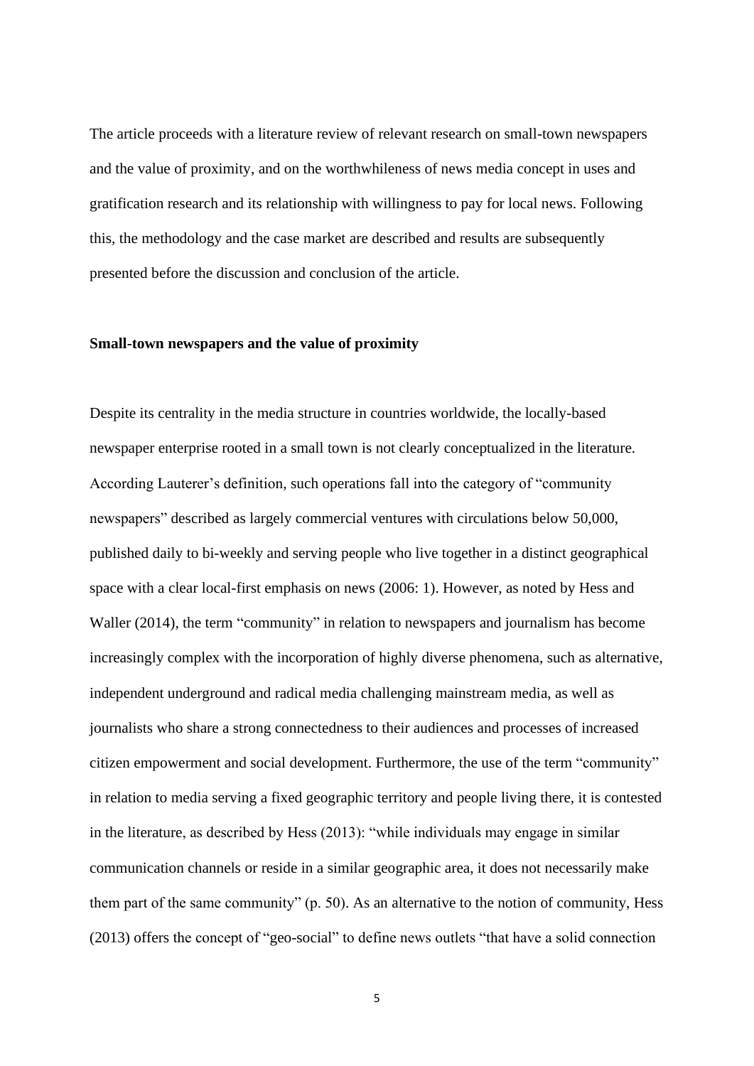The article proceeds with a literature review of relevant research on small-town newspapers and the value of proximity, and on the worthwhileness of news media concept in uses and gratification research and its relationship with willingness to pay for local news. Following this, the methodology and the case market are described and results are subsequently presented before the discussion and conclusion of the article.

### **Small-town newspapers and the value of proximity**

Despite its centrality in the media structure in countries worldwide, the locally-based newspaper enterprise rooted in a small town is not clearly conceptualized in the literature. According Lauterer's definition, such operations fall into the category of "community newspapers" described as largely commercial ventures with circulations below 50,000, published daily to bi-weekly and serving people who live together in a distinct geographical space with a clear local-first emphasis on news (2006: 1). However, as noted by Hess and Waller (2014), the term "community" in relation to newspapers and journalism has become increasingly complex with the incorporation of highly diverse phenomena, such as alternative, independent underground and radical media challenging mainstream media, as well as journalists who share a strong connectedness to their audiences and processes of increased citizen empowerment and social development. Furthermore, the use of the term "community" in relation to media serving a fixed geographic territory and people living there, it is contested in the literature, as described by Hess (2013): "while individuals may engage in similar communication channels or reside in a similar geographic area, it does not necessarily make them part of the same community" (p. 50). As an alternative to the notion of community, Hess (2013) offers the concept of "geo-social" to define news outlets "that have a solid connection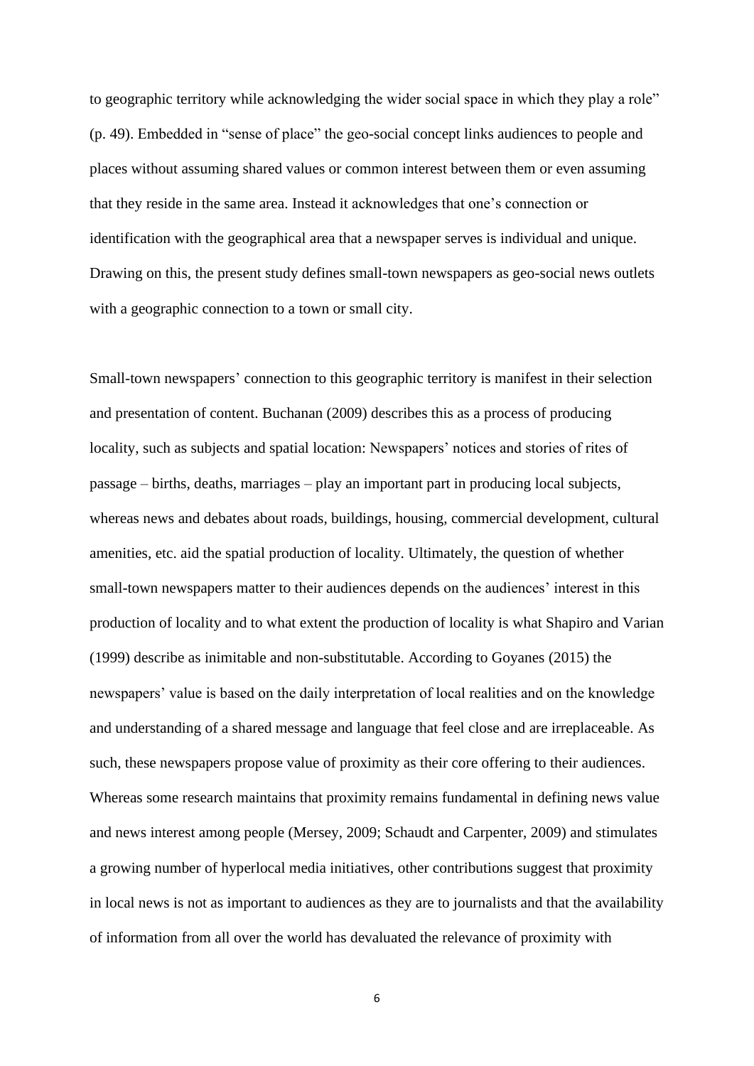to geographic territory while acknowledging the wider social space in which they play a role" (p. 49). Embedded in "sense of place" the geo-social concept links audiences to people and places without assuming shared values or common interest between them or even assuming that they reside in the same area. Instead it acknowledges that one's connection or identification with the geographical area that a newspaper serves is individual and unique. Drawing on this, the present study defines small-town newspapers as geo-social news outlets with a geographic connection to a town or small city.

Small-town newspapers' connection to this geographic territory is manifest in their selection and presentation of content. Buchanan (2009) describes this as a process of producing locality, such as subjects and spatial location: Newspapers' notices and stories of rites of passage – births, deaths, marriages – play an important part in producing local subjects, whereas news and debates about roads, buildings, housing, commercial development, cultural amenities, etc. aid the spatial production of locality. Ultimately, the question of whether small-town newspapers matter to their audiences depends on the audiences' interest in this production of locality and to what extent the production of locality is what Shapiro and Varian (1999) describe as inimitable and non-substitutable. According to Goyanes (2015) the newspapers' value is based on the daily interpretation of local realities and on the knowledge and understanding of a shared message and language that feel close and are irreplaceable. As such, these newspapers propose value of proximity as their core offering to their audiences. Whereas some research maintains that proximity remains fundamental in defining news value and news interest among people (Mersey, 2009; Schaudt and Carpenter, 2009) and stimulates a growing number of hyperlocal media initiatives, other contributions suggest that proximity in local news is not as important to audiences as they are to journalists and that the availability of information from all over the world has devaluated the relevance of proximity with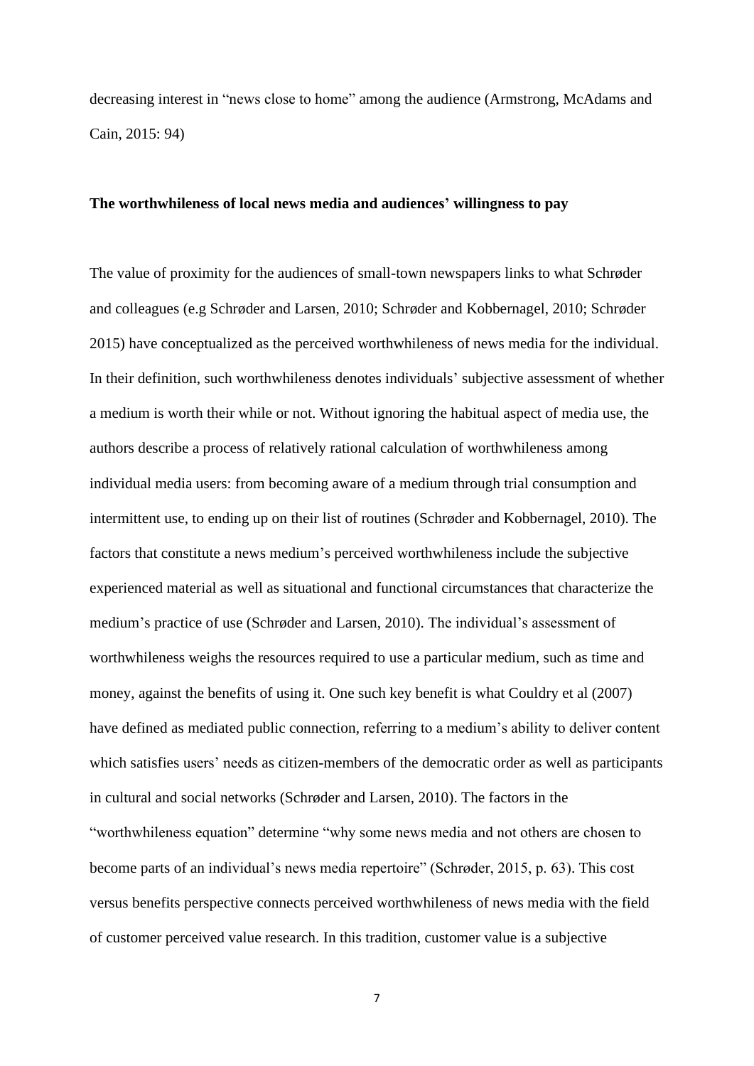decreasing interest in "news close to home" among the audience (Armstrong, McAdams and Cain, 2015: 94)

# **The worthwhileness of local news media and audiences' willingness to pay**

The value of proximity for the audiences of small-town newspapers links to what Schrøder and colleagues (e.g Schrøder and Larsen, 2010; Schrøder and Kobbernagel, 2010; Schrøder 2015) have conceptualized as the perceived worthwhileness of news media for the individual. In their definition, such worthwhileness denotes individuals' subjective assessment of whether a medium is worth their while or not. Without ignoring the habitual aspect of media use, the authors describe a process of relatively rational calculation of worthwhileness among individual media users: from becoming aware of a medium through trial consumption and intermittent use, to ending up on their list of routines (Schrøder and Kobbernagel, 2010). The factors that constitute a news medium's perceived worthwhileness include the subjective experienced material as well as situational and functional circumstances that characterize the medium's practice of use (Schrøder and Larsen, 2010). The individual's assessment of worthwhileness weighs the resources required to use a particular medium, such as time and money, against the benefits of using it. One such key benefit is what Couldry et al (2007) have defined as mediated public connection, referring to a medium's ability to deliver content which satisfies users' needs as citizen-members of the democratic order as well as participants in cultural and social networks (Schrøder and Larsen, 2010). The factors in the "worthwhileness equation" determine "why some news media and not others are chosen to become parts of an individual's news media repertoire" (Schrøder, 2015, p. 63). This cost versus benefits perspective connects perceived worthwhileness of news media with the field of customer perceived value research. In this tradition, customer value is a subjective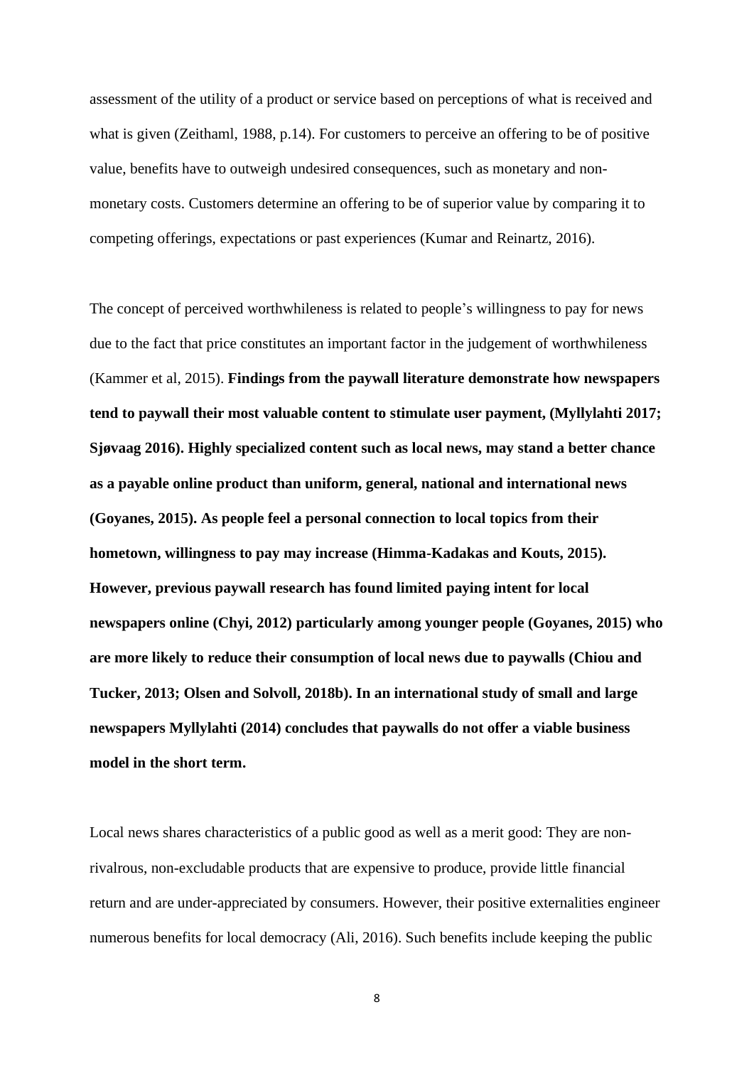assessment of the utility of a product or service based on perceptions of what is received and what is given (Zeithaml, 1988, p.14). For customers to perceive an offering to be of positive value, benefits have to outweigh undesired consequences, such as monetary and nonmonetary costs. Customers determine an offering to be of superior value by comparing it to competing offerings, expectations or past experiences (Kumar and Reinartz, 2016).

The concept of perceived worthwhileness is related to people's willingness to pay for news due to the fact that price constitutes an important factor in the judgement of worthwhileness (Kammer et al, 2015). **Findings from the paywall literature demonstrate how newspapers tend to paywall their most valuable content to stimulate user payment, (Myllylahti 2017; Sjøvaag 2016). Highly specialized content such as local news, may stand a better chance as a payable online product than uniform, general, national and international news (Goyanes, 2015). As people feel a personal connection to local topics from their hometown, willingness to pay may increase (Himma-Kadakas and Kouts, 2015). However, previous paywall research has found limited paying intent for local newspapers online (Chyi, 2012) particularly among younger people (Goyanes, 2015) who are more likely to reduce their consumption of local news due to paywalls (Chiou and Tucker, 2013; Olsen and Solvoll, 2018b). In an international study of small and large newspapers Myllylahti (2014) concludes that paywalls do not offer a viable business model in the short term.**

Local news shares characteristics of a public good as well as a merit good: They are nonrivalrous, non-excludable products that are expensive to produce, provide little financial return and are under-appreciated by consumers. However, their positive externalities engineer numerous benefits for local democracy (Ali, 2016). Such benefits include keeping the public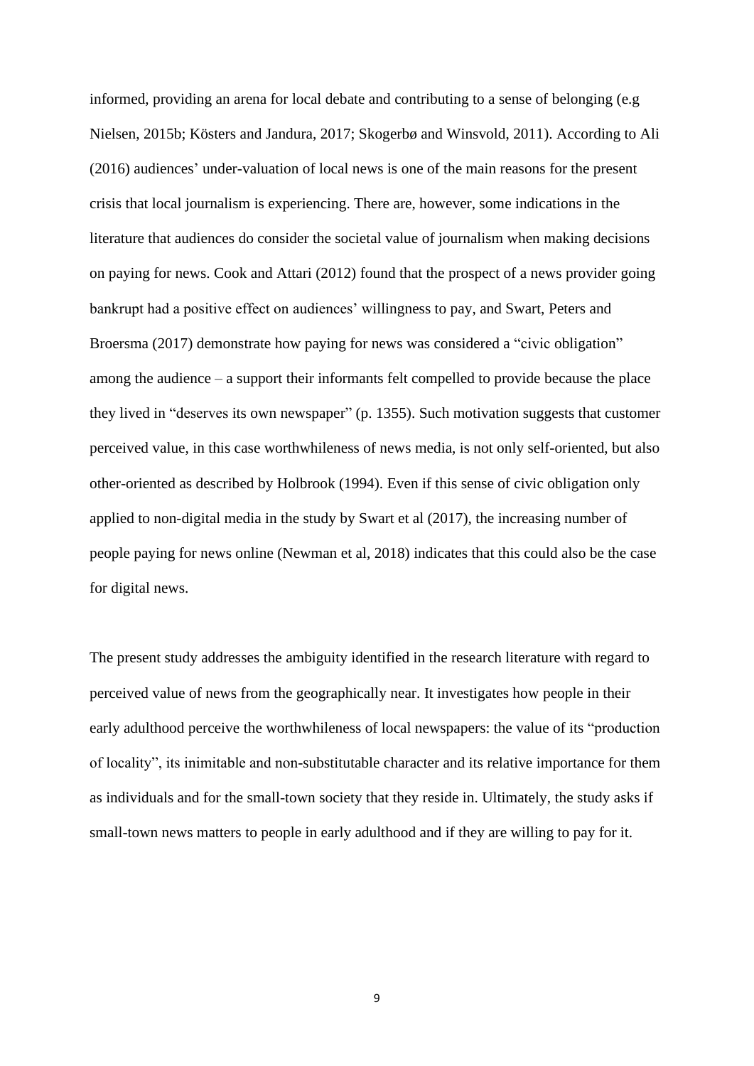informed, providing an arena for local debate and contributing to a sense of belonging (e.g Nielsen, 2015b; Kösters and Jandura, 2017; Skogerbø and Winsvold, 2011). According to Ali (2016) audiences' under-valuation of local news is one of the main reasons for the present crisis that local journalism is experiencing. There are, however, some indications in the literature that audiences do consider the societal value of journalism when making decisions on paying for news. Cook and Attari (2012) found that the prospect of a news provider going bankrupt had a positive effect on audiences' willingness to pay, and Swart, Peters and Broersma (2017) demonstrate how paying for news was considered a "civic obligation" among the audience – a support their informants felt compelled to provide because the place they lived in "deserves its own newspaper" (p. 1355). Such motivation suggests that customer perceived value, in this case worthwhileness of news media, is not only self-oriented, but also other-oriented as described by Holbrook (1994). Even if this sense of civic obligation only applied to non-digital media in the study by Swart et al (2017), the increasing number of people paying for news online (Newman et al, 2018) indicates that this could also be the case for digital news.

The present study addresses the ambiguity identified in the research literature with regard to perceived value of news from the geographically near. It investigates how people in their early adulthood perceive the worthwhileness of local newspapers: the value of its "production of locality", its inimitable and non-substitutable character and its relative importance for them as individuals and for the small-town society that they reside in. Ultimately, the study asks if small-town news matters to people in early adulthood and if they are willing to pay for it.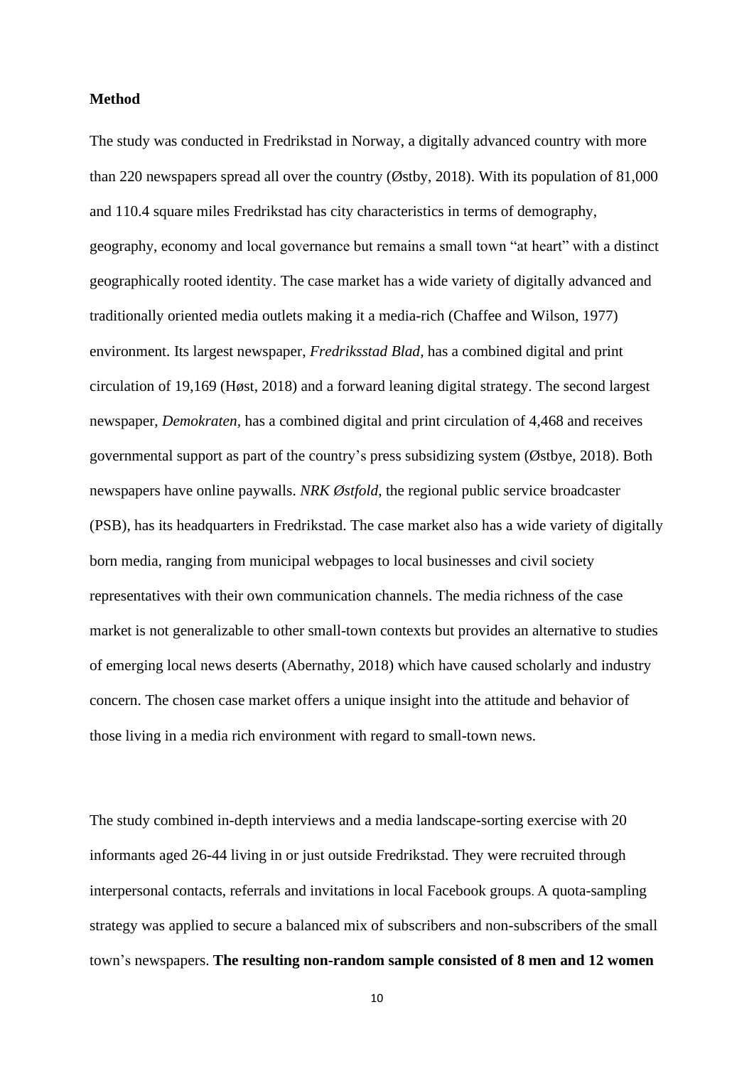#### **Method**

The study was conducted in Fredrikstad in Norway, a digitally advanced country with more than 220 newspapers spread all over the country (Østby, 2018). With its population of 81,000 and 110.4 square miles Fredrikstad has city characteristics in terms of demography, geography, economy and local governance but remains a small town "at heart" with a distinct geographically rooted identity. The case market has a wide variety of digitally advanced and traditionally oriented media outlets making it a media-rich (Chaffee and Wilson, 1977) environment. Its largest newspaper, *Fredriksstad Blad,* has a combined digital and print circulation of 19,169 (Høst, 2018) and a forward leaning digital strategy. The second largest newspaper, *Demokraten,* has a combined digital and print circulation of 4,468 and receives governmental support as part of the country's press subsidizing system (Østbye, 2018). Both newspapers have online paywalls. *NRK Østfold*, the regional public service broadcaster (PSB), has its headquarters in Fredrikstad. The case market also has a wide variety of digitally born media, ranging from municipal webpages to local businesses and civil society representatives with their own communication channels. The media richness of the case market is not generalizable to other small-town contexts but provides an alternative to studies of emerging local news deserts (Abernathy, 2018) which have caused scholarly and industry concern. The chosen case market offers a unique insight into the attitude and behavior of those living in a media rich environment with regard to small-town news.

The study combined in-depth interviews and a media landscape-sorting exercise with 20 informants aged 26-44 living in or just outside Fredrikstad. They were recruited through interpersonal contacts, referrals and invitations in local Facebook groups. A quota-sampling strategy was applied to secure a balanced mix of subscribers and non-subscribers of the small town's newspapers. **The resulting non-random sample consisted of 8 men and 12 women**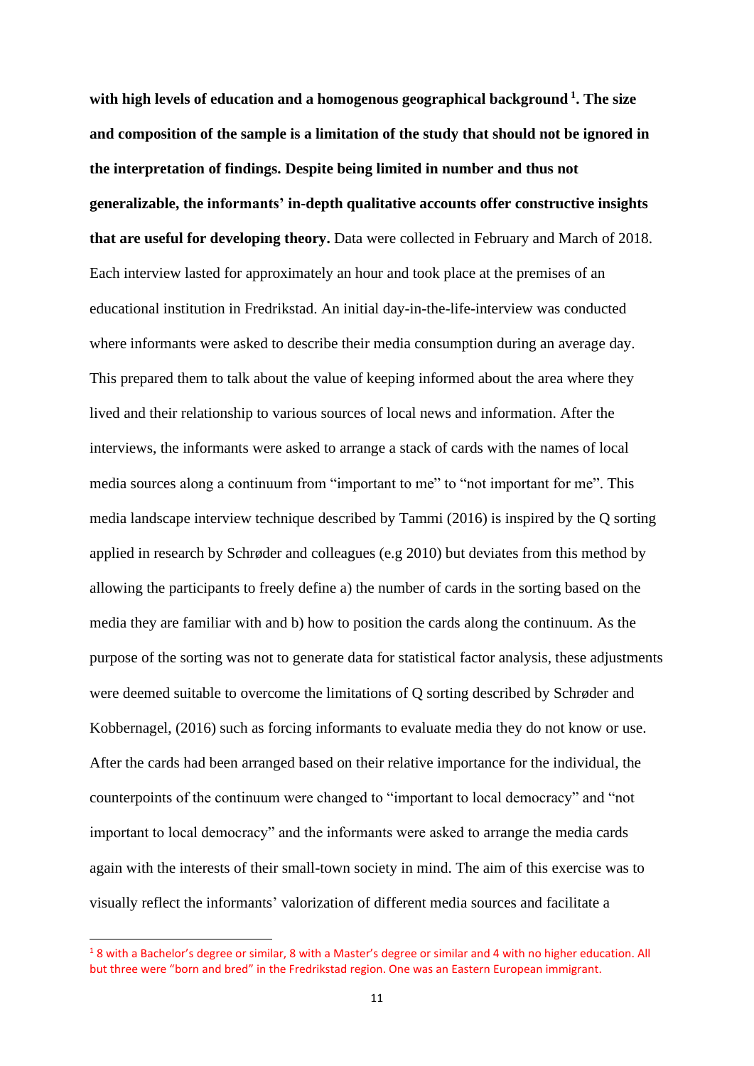**with high levels of education and a homogenous geographical background <sup>1</sup> . The size and composition of the sample is a limitation of the study that should not be ignored in the interpretation of findings. Despite being limited in number and thus not generalizable, the informants' in-depth qualitative accounts offer constructive insights that are useful for developing theory.** Data were collected in February and March of 2018. Each interview lasted for approximately an hour and took place at the premises of an educational institution in Fredrikstad. An initial day-in-the-life-interview was conducted where informants were asked to describe their media consumption during an average day. This prepared them to talk about the value of keeping informed about the area where they lived and their relationship to various sources of local news and information. After the interviews, the informants were asked to arrange a stack of cards with the names of local media sources along a continuum from "important to me" to "not important for me". This media landscape interview technique described by Tammi (2016) is inspired by the Q sorting applied in research by Schrøder and colleagues (e.g 2010) but deviates from this method by allowing the participants to freely define a) the number of cards in the sorting based on the media they are familiar with and b) how to position the cards along the continuum. As the purpose of the sorting was not to generate data for statistical factor analysis, these adjustments were deemed suitable to overcome the limitations of Q sorting described by Schrøder and Kobbernagel, (2016) such as forcing informants to evaluate media they do not know or use. After the cards had been arranged based on their relative importance for the individual, the counterpoints of the continuum were changed to "important to local democracy" and "not important to local democracy" and the informants were asked to arrange the media cards again with the interests of their small-town society in mind. The aim of this exercise was to visually reflect the informants' valorization of different media sources and facilitate a

<sup>&</sup>lt;sup>1</sup> 8 with a Bachelor's degree or similar, 8 with a Master's degree or similar and 4 with no higher education. All but three were "born and bred" in the Fredrikstad region. One was an Eastern European immigrant.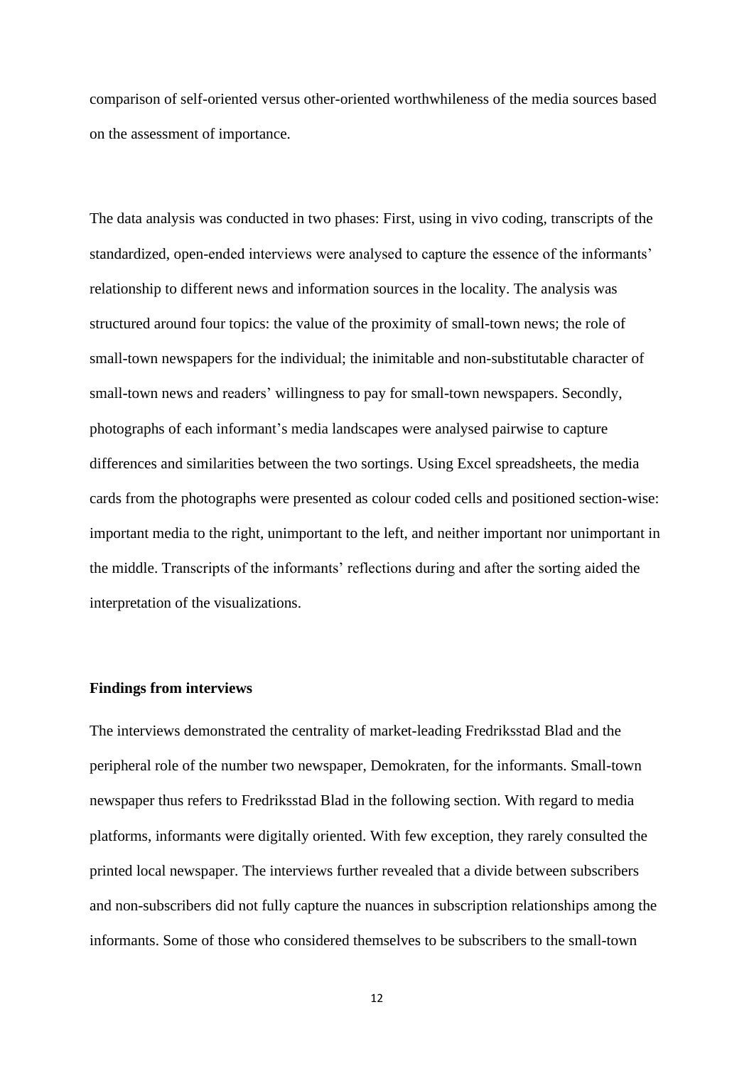comparison of self-oriented versus other-oriented worthwhileness of the media sources based on the assessment of importance.

The data analysis was conducted in two phases: First, using in vivo coding, transcripts of the standardized, open-ended interviews were analysed to capture the essence of the informants' relationship to different news and information sources in the locality. The analysis was structured around four topics: the value of the proximity of small-town news; the role of small-town newspapers for the individual; the inimitable and non-substitutable character of small-town news and readers' willingness to pay for small-town newspapers. Secondly, photographs of each informant's media landscapes were analysed pairwise to capture differences and similarities between the two sortings. Using Excel spreadsheets, the media cards from the photographs were presented as colour coded cells and positioned section-wise: important media to the right, unimportant to the left, and neither important nor unimportant in the middle. Transcripts of the informants' reflections during and after the sorting aided the interpretation of the visualizations.

## **Findings from interviews**

The interviews demonstrated the centrality of market-leading Fredriksstad Blad and the peripheral role of the number two newspaper, Demokraten, for the informants. Small-town newspaper thus refers to Fredriksstad Blad in the following section. With regard to media platforms, informants were digitally oriented. With few exception, they rarely consulted the printed local newspaper. The interviews further revealed that a divide between subscribers and non-subscribers did not fully capture the nuances in subscription relationships among the informants. Some of those who considered themselves to be subscribers to the small-town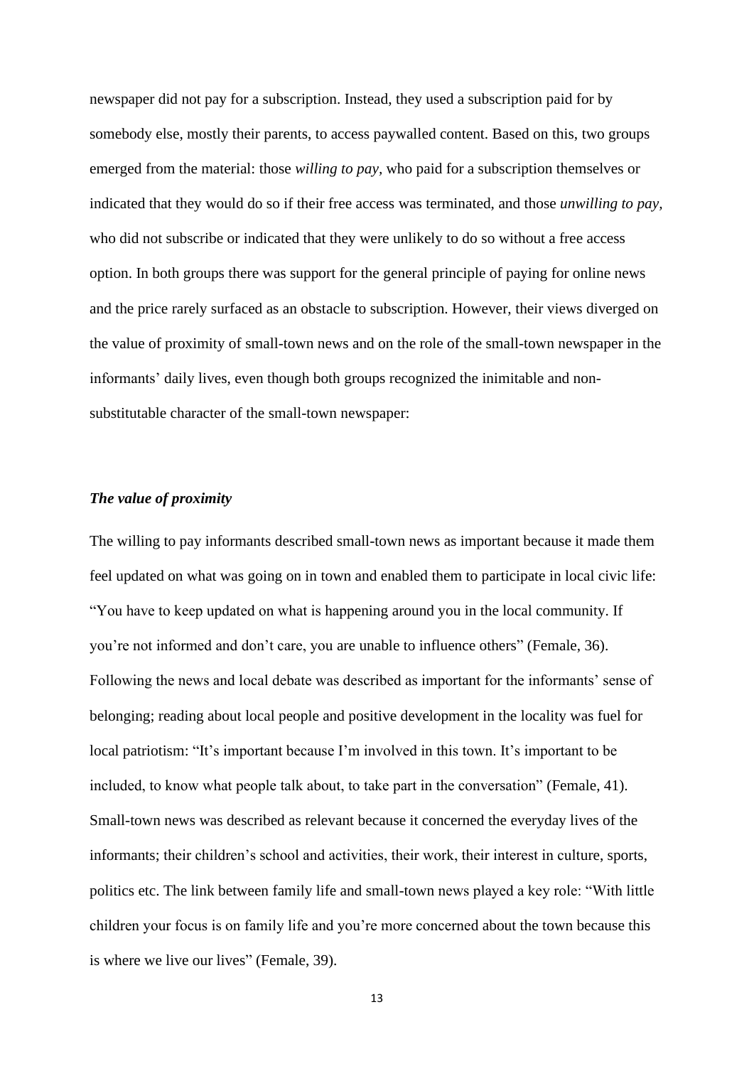newspaper did not pay for a subscription. Instead, they used a subscription paid for by somebody else, mostly their parents, to access paywalled content. Based on this, two groups emerged from the material: those *willing to pay,* who paid for a subscription themselves or indicated that they would do so if their free access was terminated, and those *unwilling to pay,* who did not subscribe or indicated that they were unlikely to do so without a free access option. In both groups there was support for the general principle of paying for online news and the price rarely surfaced as an obstacle to subscription. However, their views diverged on the value of proximity of small-town news and on the role of the small-town newspaper in the informants' daily lives, even though both groups recognized the inimitable and nonsubstitutable character of the small-town newspaper:

# *The value of proximity*

The willing to pay informants described small-town news as important because it made them feel updated on what was going on in town and enabled them to participate in local civic life: "You have to keep updated on what is happening around you in the local community. If you're not informed and don't care, you are unable to influence others" (Female, 36). Following the news and local debate was described as important for the informants' sense of belonging; reading about local people and positive development in the locality was fuel for local patriotism: "It's important because I'm involved in this town. It's important to be included, to know what people talk about, to take part in the conversation" (Female, 41). Small-town news was described as relevant because it concerned the everyday lives of the informants; their children's school and activities, their work, their interest in culture, sports, politics etc. The link between family life and small-town news played a key role: "With little children your focus is on family life and you're more concerned about the town because this is where we live our lives" (Female, 39).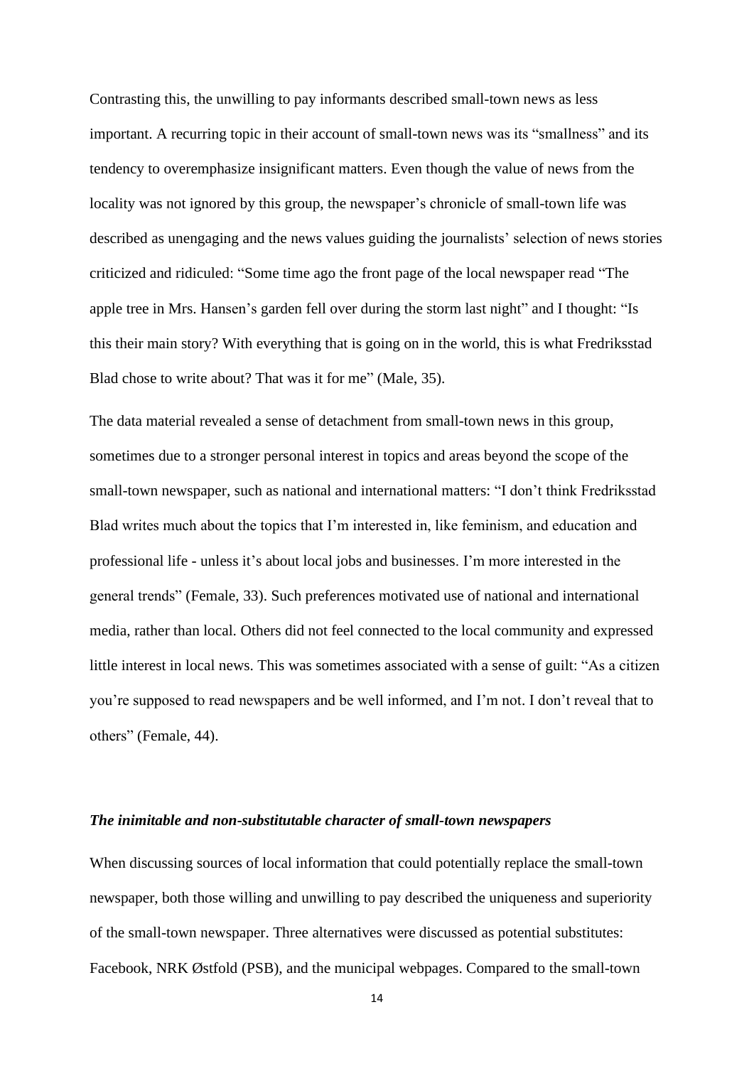Contrasting this, the unwilling to pay informants described small-town news as less important. A recurring topic in their account of small-town news was its "smallness" and its tendency to overemphasize insignificant matters. Even though the value of news from the locality was not ignored by this group, the newspaper's chronicle of small-town life was described as unengaging and the news values guiding the journalists' selection of news stories criticized and ridiculed: "Some time ago the front page of the local newspaper read "The apple tree in Mrs. Hansen's garden fell over during the storm last night" and I thought: "Is this their main story? With everything that is going on in the world, this is what Fredriksstad Blad chose to write about? That was it for me" (Male, 35).

The data material revealed a sense of detachment from small-town news in this group, sometimes due to a stronger personal interest in topics and areas beyond the scope of the small-town newspaper, such as national and international matters: "I don't think Fredriksstad Blad writes much about the topics that I'm interested in, like feminism, and education and professional life - unless it's about local jobs and businesses. I'm more interested in the general trends" (Female, 33). Such preferences motivated use of national and international media, rather than local. Others did not feel connected to the local community and expressed little interest in local news. This was sometimes associated with a sense of guilt: "As a citizen you're supposed to read newspapers and be well informed, and I'm not. I don't reveal that to others" (Female, 44).

#### *The inimitable and non-substitutable character of small-town newspapers*

When discussing sources of local information that could potentially replace the small-town newspaper, both those willing and unwilling to pay described the uniqueness and superiority of the small-town newspaper. Three alternatives were discussed as potential substitutes: Facebook, NRK Østfold (PSB), and the municipal webpages. Compared to the small-town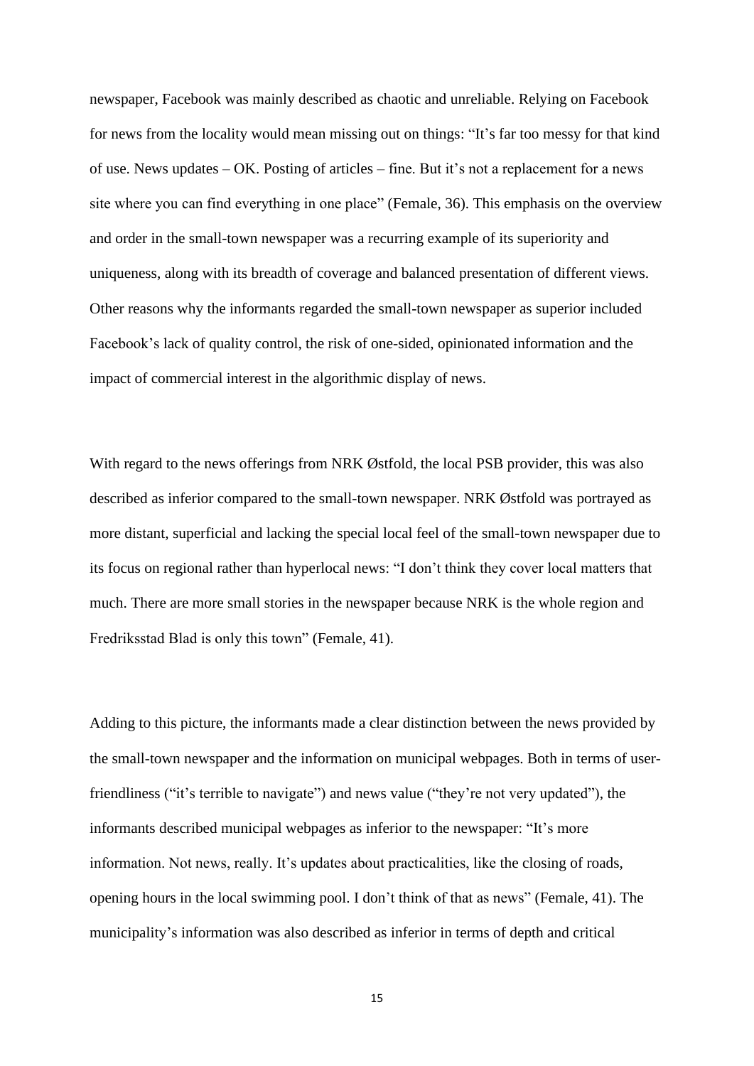newspaper, Facebook was mainly described as chaotic and unreliable. Relying on Facebook for news from the locality would mean missing out on things: "It's far too messy for that kind of use. News updates – OK. Posting of articles – fine. But it's not a replacement for a news site where you can find everything in one place" (Female, 36). This emphasis on the overview and order in the small-town newspaper was a recurring example of its superiority and uniqueness, along with its breadth of coverage and balanced presentation of different views. Other reasons why the informants regarded the small-town newspaper as superior included Facebook's lack of quality control, the risk of one-sided, opinionated information and the impact of commercial interest in the algorithmic display of news.

With regard to the news offerings from NRK Østfold, the local PSB provider, this was also described as inferior compared to the small-town newspaper. NRK Østfold was portrayed as more distant, superficial and lacking the special local feel of the small-town newspaper due to its focus on regional rather than hyperlocal news: "I don't think they cover local matters that much. There are more small stories in the newspaper because NRK is the whole region and Fredriksstad Blad is only this town" (Female, 41).

Adding to this picture, the informants made a clear distinction between the news provided by the small-town newspaper and the information on municipal webpages. Both in terms of userfriendliness ("it's terrible to navigate") and news value ("they're not very updated"), the informants described municipal webpages as inferior to the newspaper: "It's more information. Not news, really. It's updates about practicalities, like the closing of roads, opening hours in the local swimming pool. I don't think of that as news" (Female, 41). The municipality's information was also described as inferior in terms of depth and critical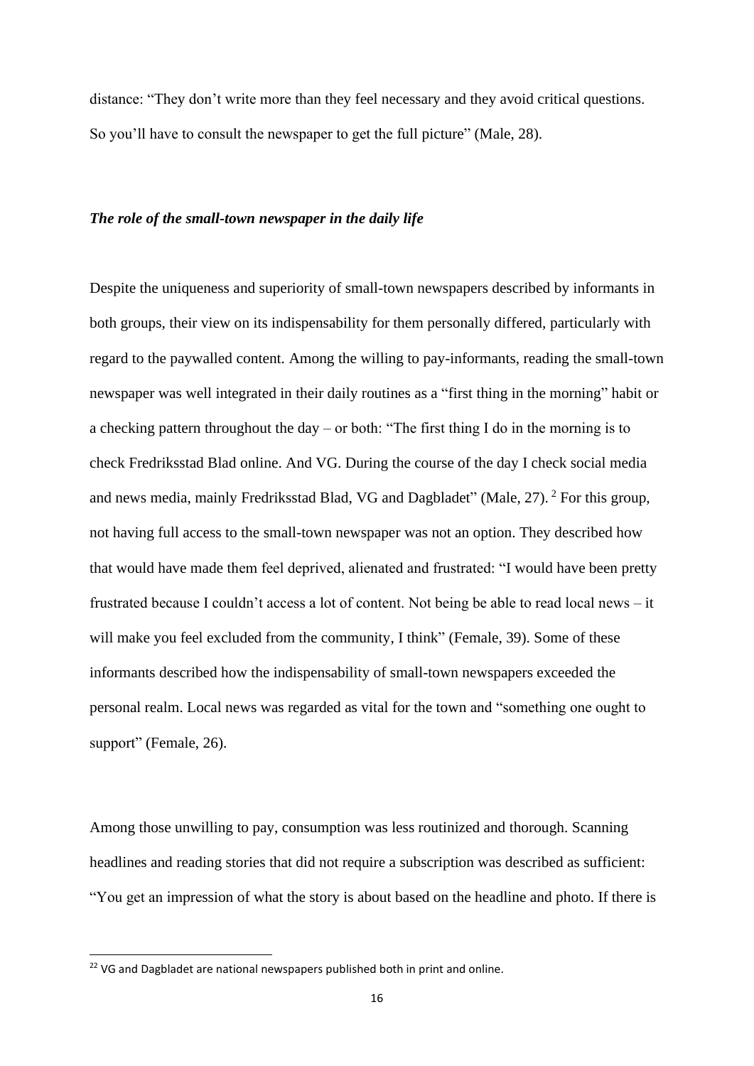distance: "They don't write more than they feel necessary and they avoid critical questions. So you'll have to consult the newspaper to get the full picture" (Male, 28).

# *The role of the small-town newspaper in the daily life*

Despite the uniqueness and superiority of small-town newspapers described by informants in both groups, their view on its indispensability for them personally differed, particularly with regard to the paywalled content. Among the willing to pay-informants, reading the small-town newspaper was well integrated in their daily routines as a "first thing in the morning" habit or a checking pattern throughout the day – or both: "The first thing I do in the morning is to check Fredriksstad Blad online. And VG. During the course of the day I check social media and news media, mainly Fredriksstad Blad, VG and Dagbladet" (Male, 27).<sup>2</sup> For this group, not having full access to the small-town newspaper was not an option. They described how that would have made them feel deprived, alienated and frustrated: "I would have been pretty frustrated because I couldn't access a lot of content. Not being be able to read local news – it will make you feel excluded from the community, I think" (Female, 39). Some of these informants described how the indispensability of small-town newspapers exceeded the personal realm. Local news was regarded as vital for the town and "something one ought to support" (Female, 26).

Among those unwilling to pay, consumption was less routinized and thorough. Scanning headlines and reading stories that did not require a subscription was described as sufficient: "You get an impression of what the story is about based on the headline and photo. If there is

 $22$  VG and Dagbladet are national newspapers published both in print and online.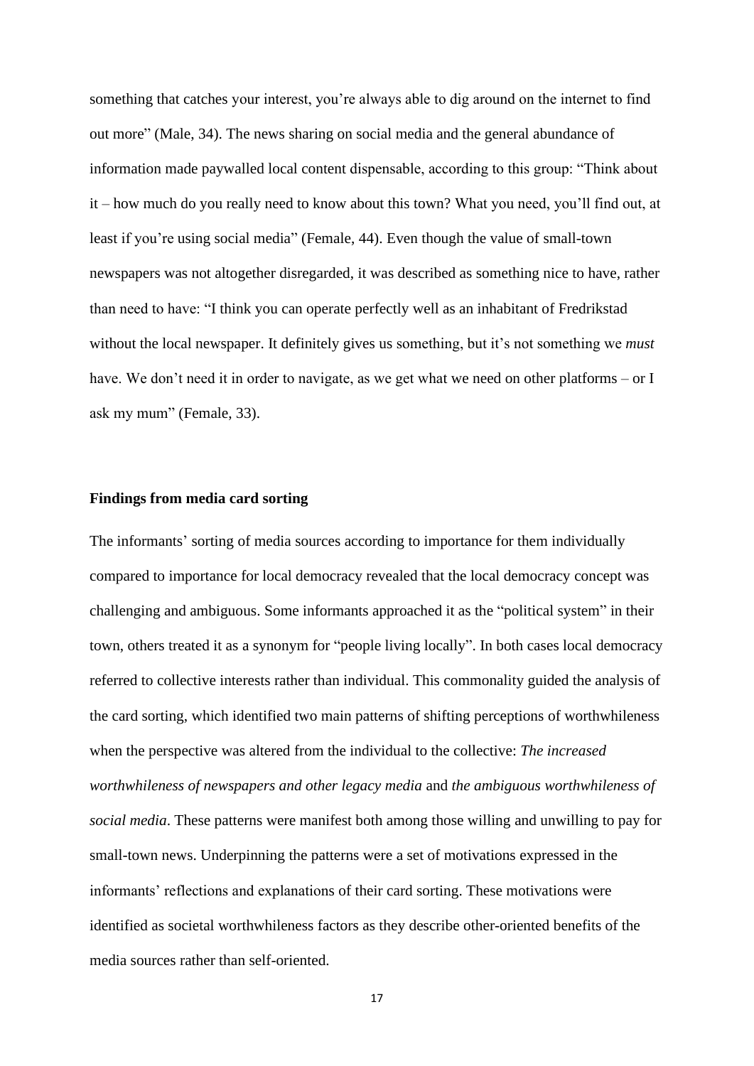something that catches your interest, you're always able to dig around on the internet to find out more" (Male, 34). The news sharing on social media and the general abundance of information made paywalled local content dispensable, according to this group: "Think about it – how much do you really need to know about this town? What you need, you'll find out, at least if you're using social media" (Female, 44). Even though the value of small-town newspapers was not altogether disregarded, it was described as something nice to have, rather than need to have: "I think you can operate perfectly well as an inhabitant of Fredrikstad without the local newspaper. It definitely gives us something, but it's not something we *must* have. We don't need it in order to navigate, as we get what we need on other platforms – or I ask my mum" (Female, 33).

### **Findings from media card sorting**

The informants' sorting of media sources according to importance for them individually compared to importance for local democracy revealed that the local democracy concept was challenging and ambiguous. Some informants approached it as the "political system" in their town, others treated it as a synonym for "people living locally". In both cases local democracy referred to collective interests rather than individual. This commonality guided the analysis of the card sorting, which identified two main patterns of shifting perceptions of worthwhileness when the perspective was altered from the individual to the collective: *The increased worthwhileness of newspapers and other legacy media* and *the ambiguous worthwhileness of social media*. These patterns were manifest both among those willing and unwilling to pay for small-town news. Underpinning the patterns were a set of motivations expressed in the informants' reflections and explanations of their card sorting. These motivations were identified as societal worthwhileness factors as they describe other-oriented benefits of the media sources rather than self-oriented.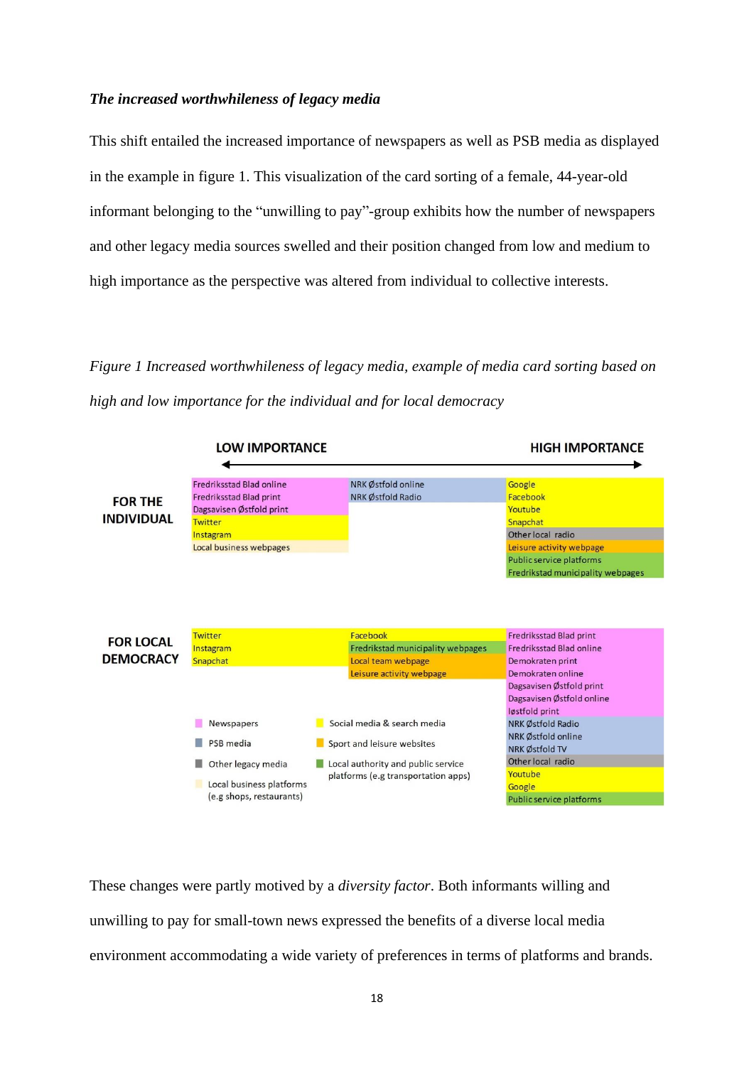# *The increased worthwhileness of legacy media*

This shift entailed the increased importance of newspapers as well as PSB media as displayed in the example in figure 1. This visualization of the card sorting of a female, 44-year-old informant belonging to the "unwilling to pay"-group exhibits how the number of newspapers and other legacy media sources swelled and their position changed from low and medium to high importance as the perspective was altered from individual to collective interests.

*Figure 1 Increased worthwhileness of legacy media, example of media card sorting based on high and low importance for the individual and for local democracy*



These changes were partly motived by a *diversity factor*. Both informants willing and unwilling to pay for small-town news expressed the benefits of a diverse local media environment accommodating a wide variety of preferences in terms of platforms and brands.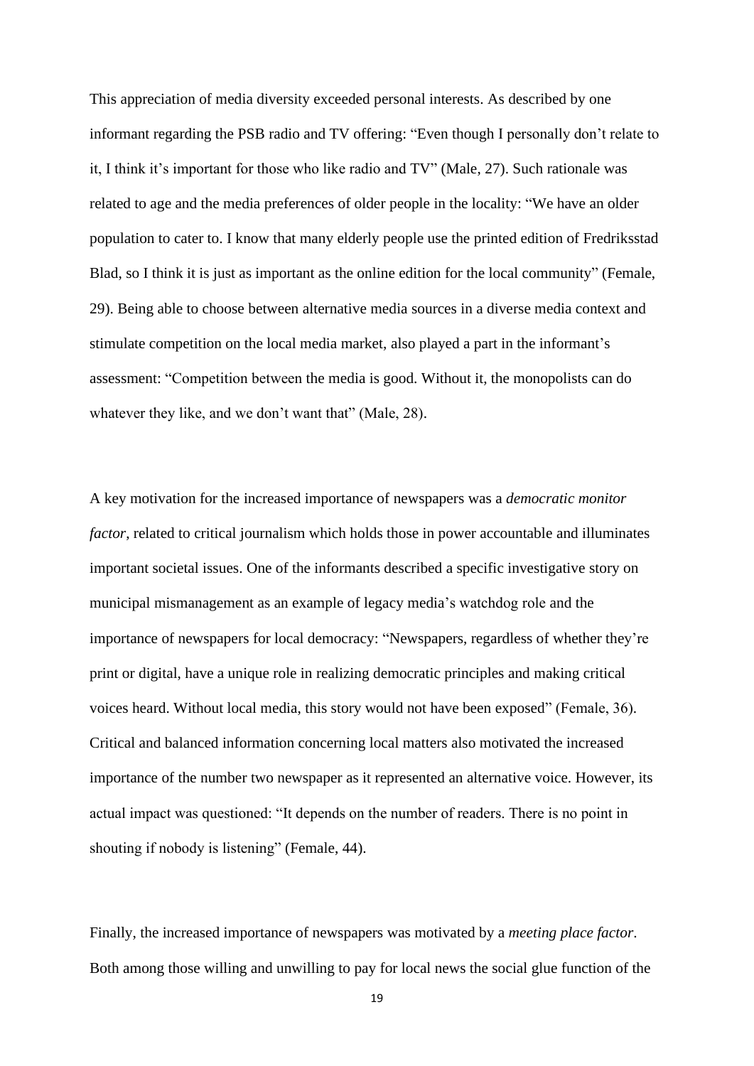This appreciation of media diversity exceeded personal interests. As described by one informant regarding the PSB radio and TV offering: "Even though I personally don't relate to it, I think it's important for those who like radio and TV" (Male, 27). Such rationale was related to age and the media preferences of older people in the locality: "We have an older population to cater to. I know that many elderly people use the printed edition of Fredriksstad Blad, so I think it is just as important as the online edition for the local community" (Female, 29). Being able to choose between alternative media sources in a diverse media context and stimulate competition on the local media market, also played a part in the informant's assessment: "Competition between the media is good. Without it, the monopolists can do whatever they like, and we don't want that" (Male, 28).

A key motivation for the increased importance of newspapers was a *democratic monitor factor*, related to critical journalism which holds those in power accountable and illuminates important societal issues. One of the informants described a specific investigative story on municipal mismanagement as an example of legacy media's watchdog role and the importance of newspapers for local democracy: "Newspapers, regardless of whether they're print or digital, have a unique role in realizing democratic principles and making critical voices heard. Without local media, this story would not have been exposed" (Female, 36). Critical and balanced information concerning local matters also motivated the increased importance of the number two newspaper as it represented an alternative voice. However, its actual impact was questioned: "It depends on the number of readers. There is no point in shouting if nobody is listening" (Female, 44).

Finally, the increased importance of newspapers was motivated by a *meeting place factor*. Both among those willing and unwilling to pay for local news the social glue function of the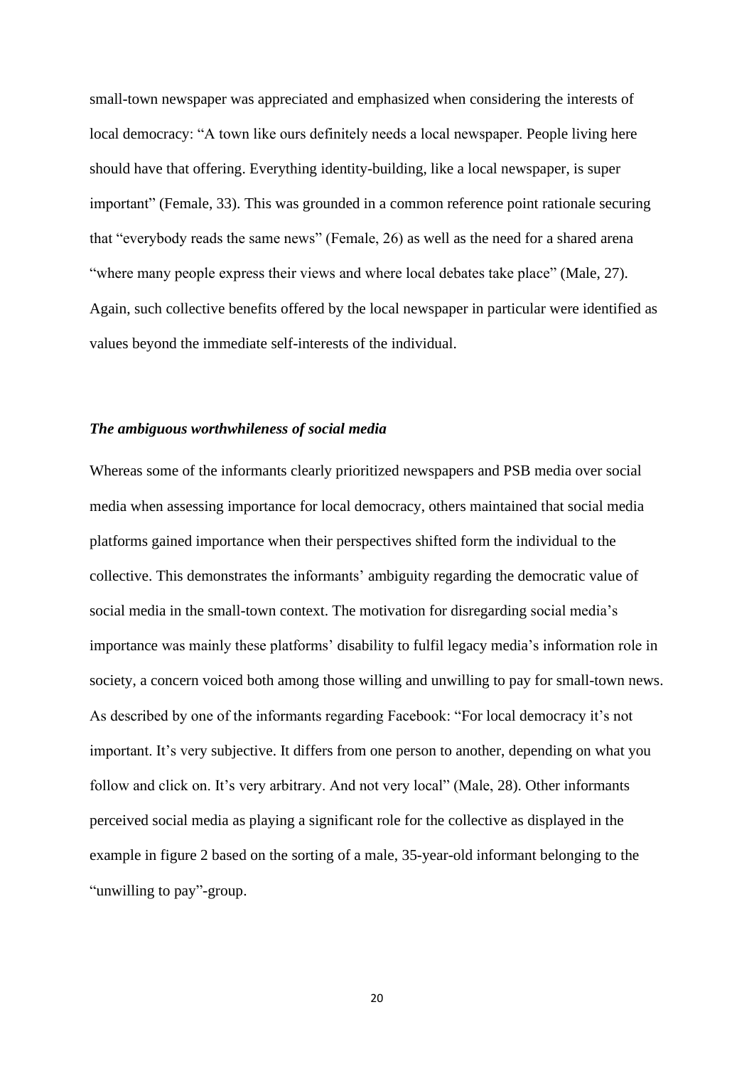small-town newspaper was appreciated and emphasized when considering the interests of local democracy: "A town like ours definitely needs a local newspaper. People living here should have that offering. Everything identity-building, like a local newspaper, is super important" (Female, 33). This was grounded in a common reference point rationale securing that "everybody reads the same news" (Female, 26) as well as the need for a shared arena "where many people express their views and where local debates take place" (Male, 27). Again, such collective benefits offered by the local newspaper in particular were identified as values beyond the immediate self-interests of the individual.

### *The ambiguous worthwhileness of social media*

Whereas some of the informants clearly prioritized newspapers and PSB media over social media when assessing importance for local democracy, others maintained that social media platforms gained importance when their perspectives shifted form the individual to the collective. This demonstrates the informants' ambiguity regarding the democratic value of social media in the small-town context. The motivation for disregarding social media's importance was mainly these platforms' disability to fulfil legacy media's information role in society, a concern voiced both among those willing and unwilling to pay for small-town news. As described by one of the informants regarding Facebook: "For local democracy it's not important. It's very subjective. It differs from one person to another, depending on what you follow and click on. It's very arbitrary. And not very local" (Male, 28). Other informants perceived social media as playing a significant role for the collective as displayed in the example in figure 2 based on the sorting of a male, 35-year-old informant belonging to the "unwilling to pay"-group.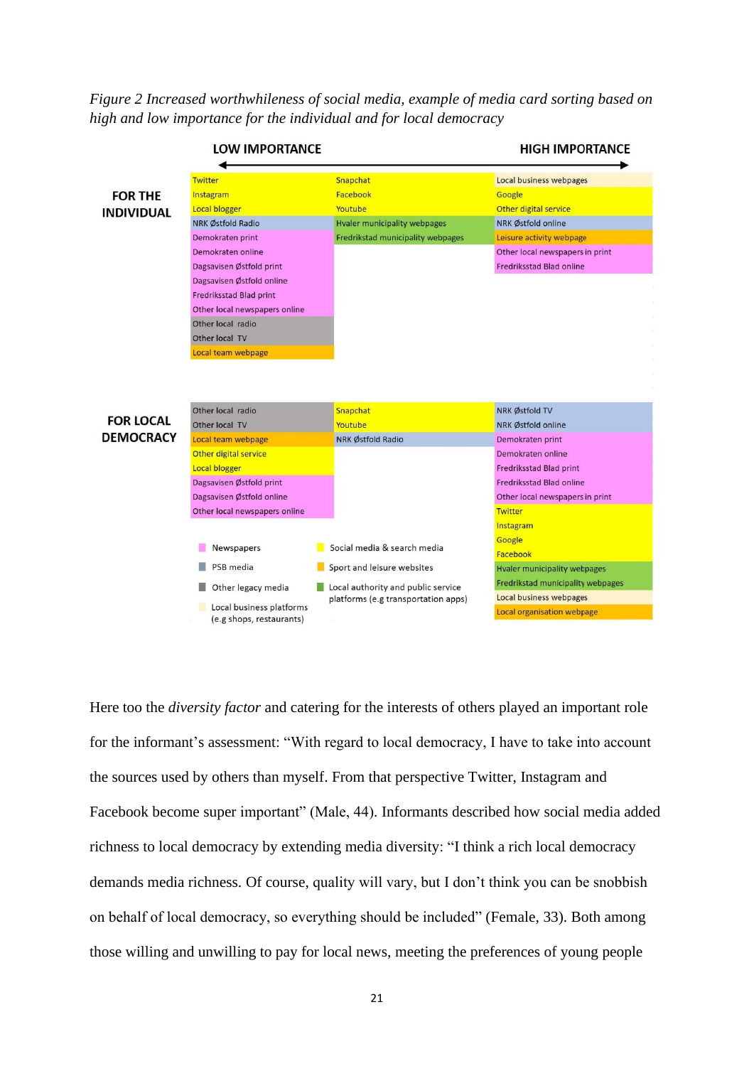*Figure 2 Increased worthwhileness of social media, example of media card sorting based on high and low importance for the individual and for local democracy*



Here too the *diversity factor* and catering for the interests of others played an important role for the informant's assessment: "With regard to local democracy, I have to take into account the sources used by others than myself. From that perspective Twitter, Instagram and Facebook become super important" (Male, 44). Informants described how social media added richness to local democracy by extending media diversity: "I think a rich local democracy demands media richness. Of course, quality will vary, but I don't think you can be snobbish on behalf of local democracy, so everything should be included" (Female, 33). Both among those willing and unwilling to pay for local news, meeting the preferences of young people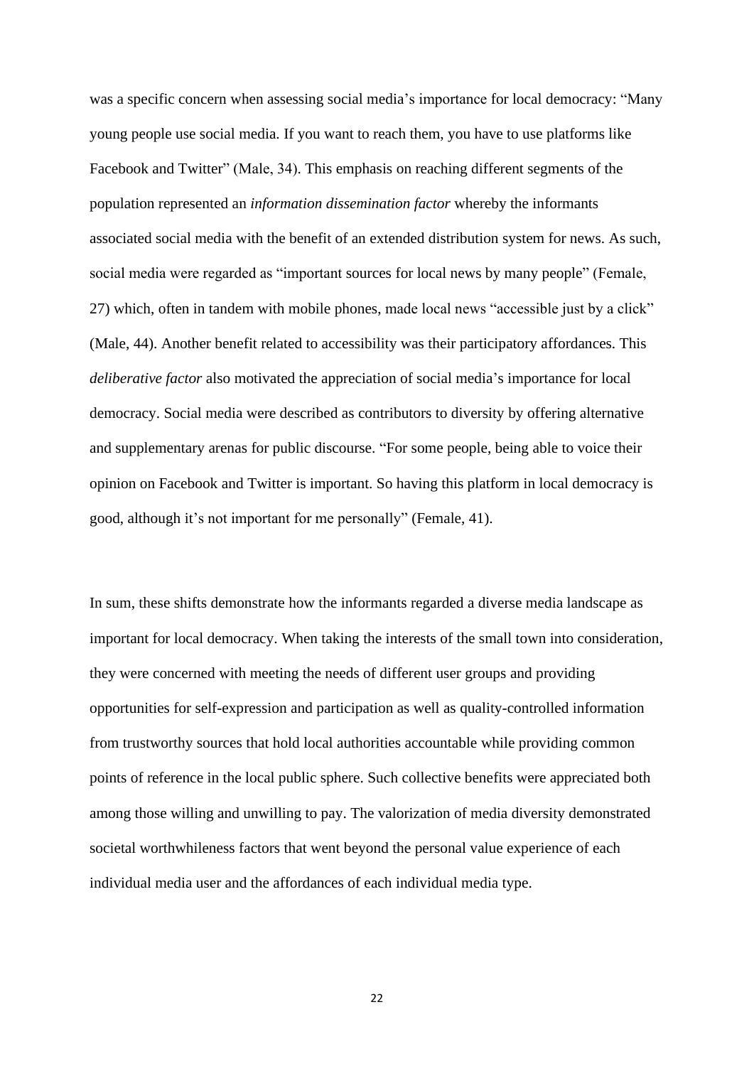was a specific concern when assessing social media's importance for local democracy: "Many young people use social media. If you want to reach them, you have to use platforms like Facebook and Twitter" (Male, 34). This emphasis on reaching different segments of the population represented an *information dissemination factor* whereby the informants associated social media with the benefit of an extended distribution system for news. As such, social media were regarded as "important sources for local news by many people" (Female, 27) which, often in tandem with mobile phones, made local news "accessible just by a click" (Male, 44). Another benefit related to accessibility was their participatory affordances. This *deliberative factor* also motivated the appreciation of social media's importance for local democracy. Social media were described as contributors to diversity by offering alternative and supplementary arenas for public discourse. "For some people, being able to voice their opinion on Facebook and Twitter is important. So having this platform in local democracy is good, although it's not important for me personally" (Female, 41).

In sum, these shifts demonstrate how the informants regarded a diverse media landscape as important for local democracy. When taking the interests of the small town into consideration, they were concerned with meeting the needs of different user groups and providing opportunities for self-expression and participation as well as quality-controlled information from trustworthy sources that hold local authorities accountable while providing common points of reference in the local public sphere. Such collective benefits were appreciated both among those willing and unwilling to pay. The valorization of media diversity demonstrated societal worthwhileness factors that went beyond the personal value experience of each individual media user and the affordances of each individual media type.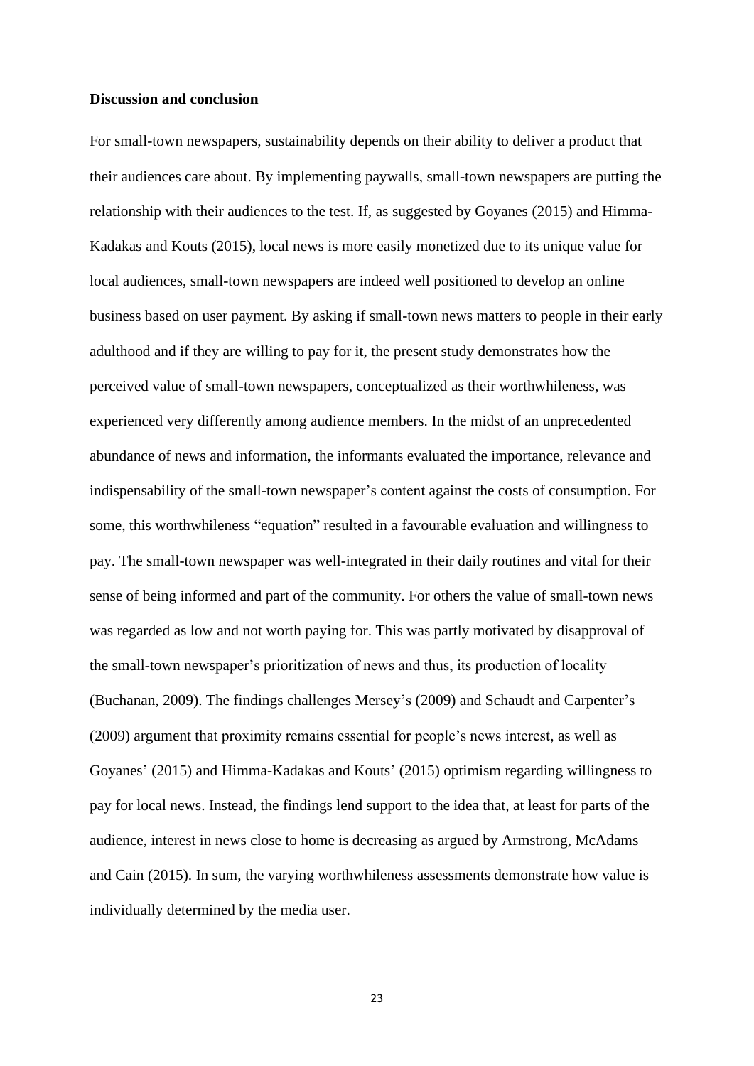# **Discussion and conclusion**

For small-town newspapers, sustainability depends on their ability to deliver a product that their audiences care about. By implementing paywalls, small-town newspapers are putting the relationship with their audiences to the test. If, as suggested by Goyanes (2015) and Himma-Kadakas and Kouts (2015), local news is more easily monetized due to its unique value for local audiences, small-town newspapers are indeed well positioned to develop an online business based on user payment. By asking if small-town news matters to people in their early adulthood and if they are willing to pay for it, the present study demonstrates how the perceived value of small-town newspapers, conceptualized as their worthwhileness, was experienced very differently among audience members. In the midst of an unprecedented abundance of news and information, the informants evaluated the importance, relevance and indispensability of the small-town newspaper's content against the costs of consumption. For some, this worthwhileness "equation" resulted in a favourable evaluation and willingness to pay. The small-town newspaper was well-integrated in their daily routines and vital for their sense of being informed and part of the community. For others the value of small-town news was regarded as low and not worth paying for. This was partly motivated by disapproval of the small-town newspaper's prioritization of news and thus, its production of locality (Buchanan, 2009). The findings challenges Mersey's (2009) and Schaudt and Carpenter's (2009) argument that proximity remains essential for people's news interest, as well as Goyanes' (2015) and Himma-Kadakas and Kouts' (2015) optimism regarding willingness to pay for local news. Instead, the findings lend support to the idea that, at least for parts of the audience, interest in news close to home is decreasing as argued by Armstrong, McAdams and Cain (2015). In sum, the varying worthwhileness assessments demonstrate how value is individually determined by the media user.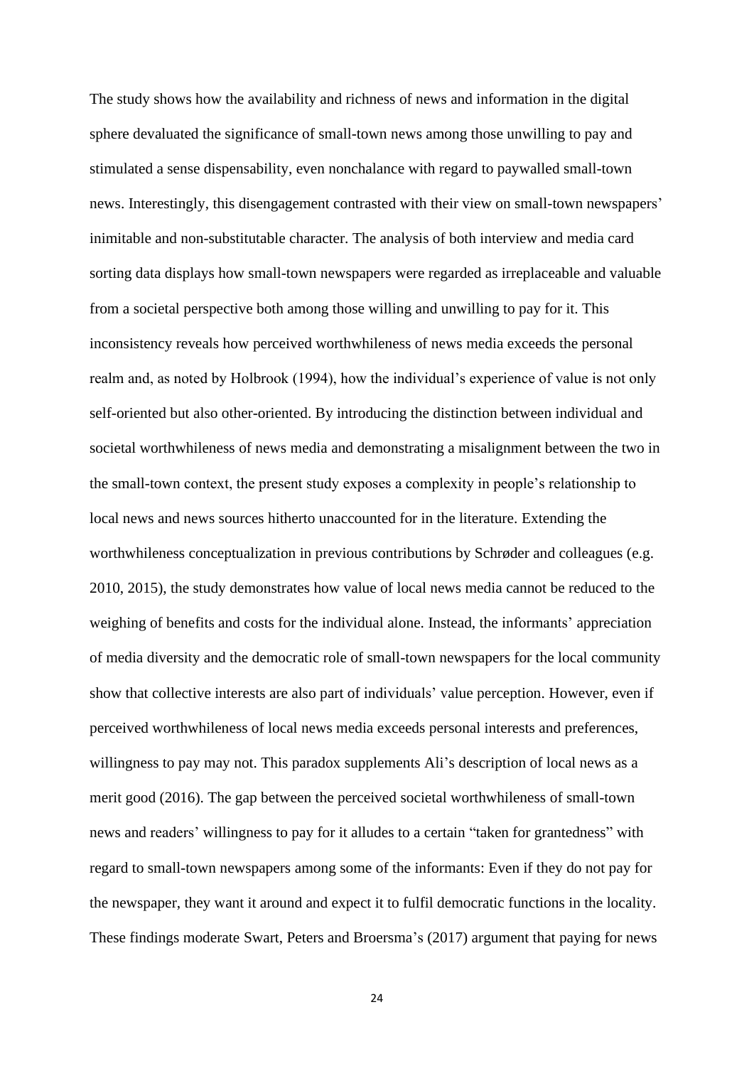The study shows how the availability and richness of news and information in the digital sphere devaluated the significance of small-town news among those unwilling to pay and stimulated a sense dispensability, even nonchalance with regard to paywalled small-town news. Interestingly, this disengagement contrasted with their view on small-town newspapers' inimitable and non-substitutable character. The analysis of both interview and media card sorting data displays how small-town newspapers were regarded as irreplaceable and valuable from a societal perspective both among those willing and unwilling to pay for it. This inconsistency reveals how perceived worthwhileness of news media exceeds the personal realm and, as noted by Holbrook (1994), how the individual's experience of value is not only self-oriented but also other-oriented. By introducing the distinction between individual and societal worthwhileness of news media and demonstrating a misalignment between the two in the small-town context, the present study exposes a complexity in people's relationship to local news and news sources hitherto unaccounted for in the literature. Extending the worthwhileness conceptualization in previous contributions by Schrøder and colleagues (e.g. 2010, 2015), the study demonstrates how value of local news media cannot be reduced to the weighing of benefits and costs for the individual alone. Instead, the informants' appreciation of media diversity and the democratic role of small-town newspapers for the local community show that collective interests are also part of individuals' value perception. However, even if perceived worthwhileness of local news media exceeds personal interests and preferences, willingness to pay may not. This paradox supplements Ali's description of local news as a merit good (2016). The gap between the perceived societal worthwhileness of small-town news and readers' willingness to pay for it alludes to a certain "taken for grantedness" with regard to small-town newspapers among some of the informants: Even if they do not pay for the newspaper, they want it around and expect it to fulfil democratic functions in the locality. These findings moderate Swart, Peters and Broersma's (2017) argument that paying for news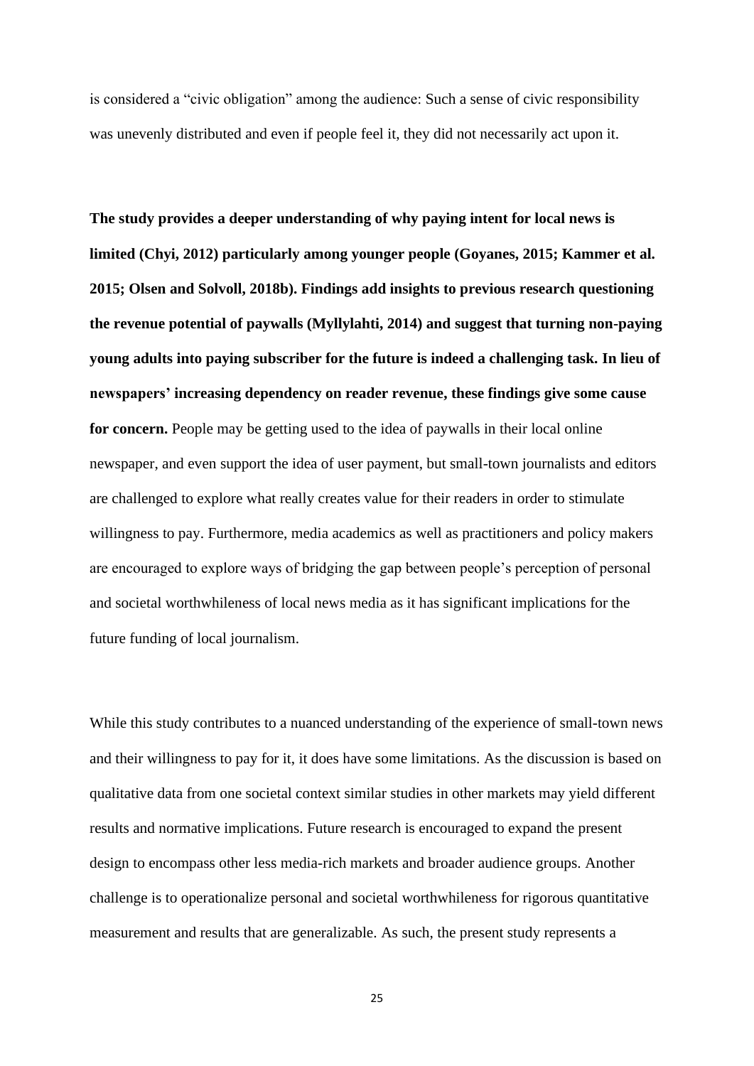is considered a "civic obligation" among the audience: Such a sense of civic responsibility was unevenly distributed and even if people feel it, they did not necessarily act upon it.

**The study provides a deeper understanding of why paying intent for local news is limited (Chyi, 2012) particularly among younger people (Goyanes, 2015; Kammer et al. 2015; Olsen and Solvoll, 2018b). Findings add insights to previous research questioning the revenue potential of paywalls (Myllylahti, 2014) and suggest that turning non-paying young adults into paying subscriber for the future is indeed a challenging task. In lieu of newspapers' increasing dependency on reader revenue, these findings give some cause for concern.** People may be getting used to the idea of paywalls in their local online newspaper, and even support the idea of user payment, but small-town journalists and editors are challenged to explore what really creates value for their readers in order to stimulate willingness to pay. Furthermore, media academics as well as practitioners and policy makers are encouraged to explore ways of bridging the gap between people's perception of personal and societal worthwhileness of local news media as it has significant implications for the future funding of local journalism.

While this study contributes to a nuanced understanding of the experience of small-town news and their willingness to pay for it, it does have some limitations. As the discussion is based on qualitative data from one societal context similar studies in other markets may yield different results and normative implications. Future research is encouraged to expand the present design to encompass other less media-rich markets and broader audience groups. Another challenge is to operationalize personal and societal worthwhileness for rigorous quantitative measurement and results that are generalizable. As such, the present study represents a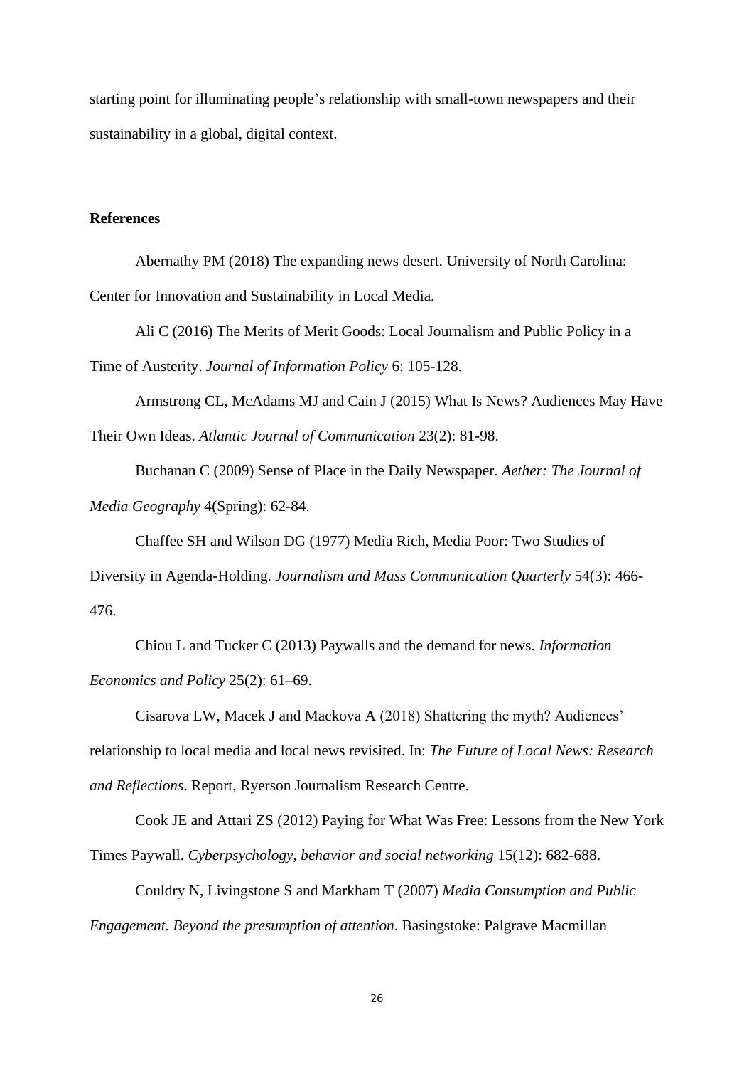starting point for illuminating people's relationship with small-town newspapers and their sustainability in a global, digital context.

# **References**

Abernathy PM (2018) The expanding news desert. University of North Carolina: Center for Innovation and Sustainability in Local Media.

Ali C (2016) The Merits of Merit Goods: Local Journalism and Public Policy in a Time of Austerity. *Journal of Information Policy* 6: 105-128.

Armstrong CL, McAdams MJ and Cain J (2015) What Is News? Audiences May Have Their Own Ideas. *Atlantic Journal of Communication* 23(2): 81-98.

Buchanan C (2009) Sense of Place in the Daily Newspaper. *Aether: The Journal of Media Geography* 4(Spring): 62-84.

Chaffee SH and Wilson DG (1977) Media Rich, Media Poor: Two Studies of

Diversity in Agenda-Holding. *Journalism and Mass Communication Quarterly* 54(3): 466- 476.

Chiou L and Tucker C (2013) Paywalls and the demand for news. *Information Economics and Policy* 25(2): 61–69.

Cisarova LW, Macek J and Mackova A (2018) Shattering the myth? Audiences' relationship to local media and local news revisited. In: *The Future of Local News: Research and Reflections*. Report, Ryerson Journalism Research Centre.

Cook JE and Attari ZS (2012) Paying for What Was Free: Lessons from the New York Times Paywall. *Cyberpsychology, behavior and social networking* 15(12): 682-688.

Couldry N, Livingstone S and Markham T (2007) *Media Consumption and Public Engagement. Beyond the presumption of attention*. Basingstoke: Palgrave Macmillan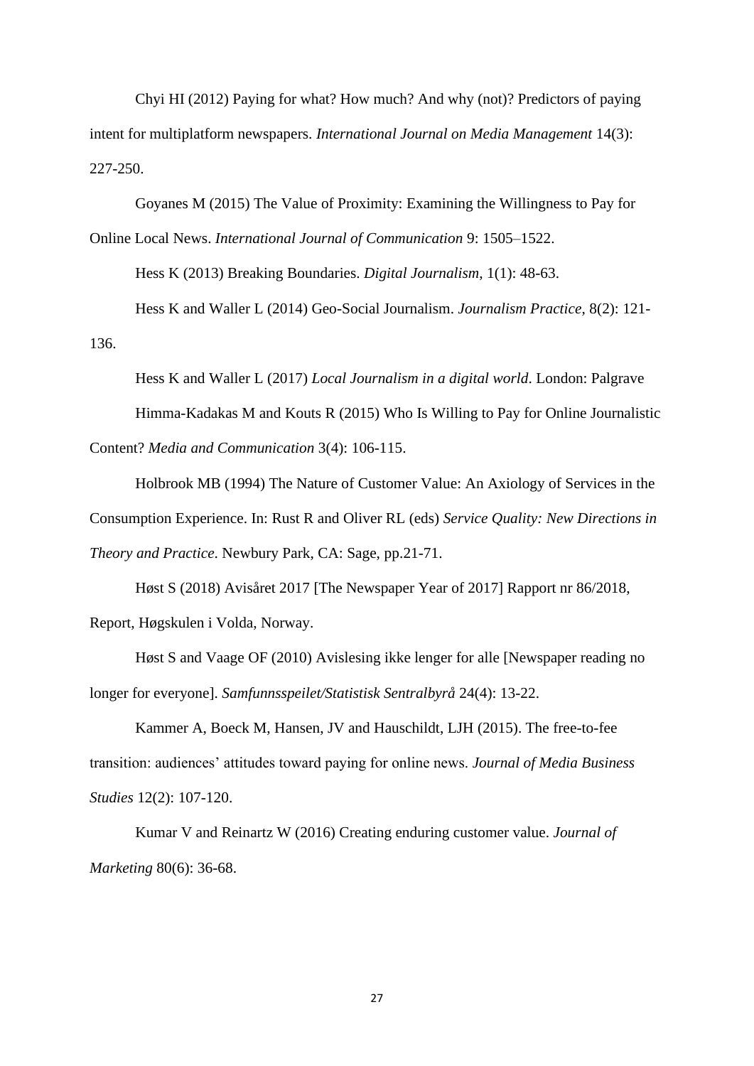Chyi HI (2012) Paying for what? How much? And why (not)? Predictors of paying intent for multiplatform newspapers. *International Journal on Media Management* 14(3): 227-250.

Goyanes M (2015) The Value of Proximity: Examining the Willingness to Pay for

Online Local News. *International Journal of Communication* 9: 1505–1522.

Hess K (2013) Breaking Boundaries. *Digital Journalism*, 1(1): 48-63.

Hess K and Waller L (2014) Geo-Social Journalism. *Journalism Practice*, 8(2): 121- 136.

Hess K and Waller L (2017) *Local Journalism in a digital world*. London: Palgrave Himma-Kadakas M and Kouts R (2015) Who Is Willing to Pay for Online Journalistic Content? *Media and Communication* 3(4): 106-115.

Holbrook MB (1994) The Nature of Customer Value: An Axiology of Services in the

Consumption Experience. In: Rust R and Oliver RL (eds) *Service Quality: New Directions in* 

*Theory and Practice*. Newbury Park, CA: Sage, pp.21-71.

Høst S (2018) Avisåret 2017 [The Newspaper Year of 2017] Rapport nr 86/2018, Report, Høgskulen i Volda, Norway.

Høst S and Vaage OF (2010) Avislesing ikke lenger for alle [Newspaper reading no longer for everyone]. *Samfunnsspeilet/Statistisk Sentralbyrå* 24(4): 13-22.

Kammer A, Boeck M, Hansen, JV and Hauschildt, LJH (2015). The free-to-fee transition: audiences' attitudes toward paying for online news. *Journal of Media Business Studies* 12(2): 107-120.

Kumar V and Reinartz W (2016) Creating enduring customer value. *Journal of Marketing* 80(6): 36-68.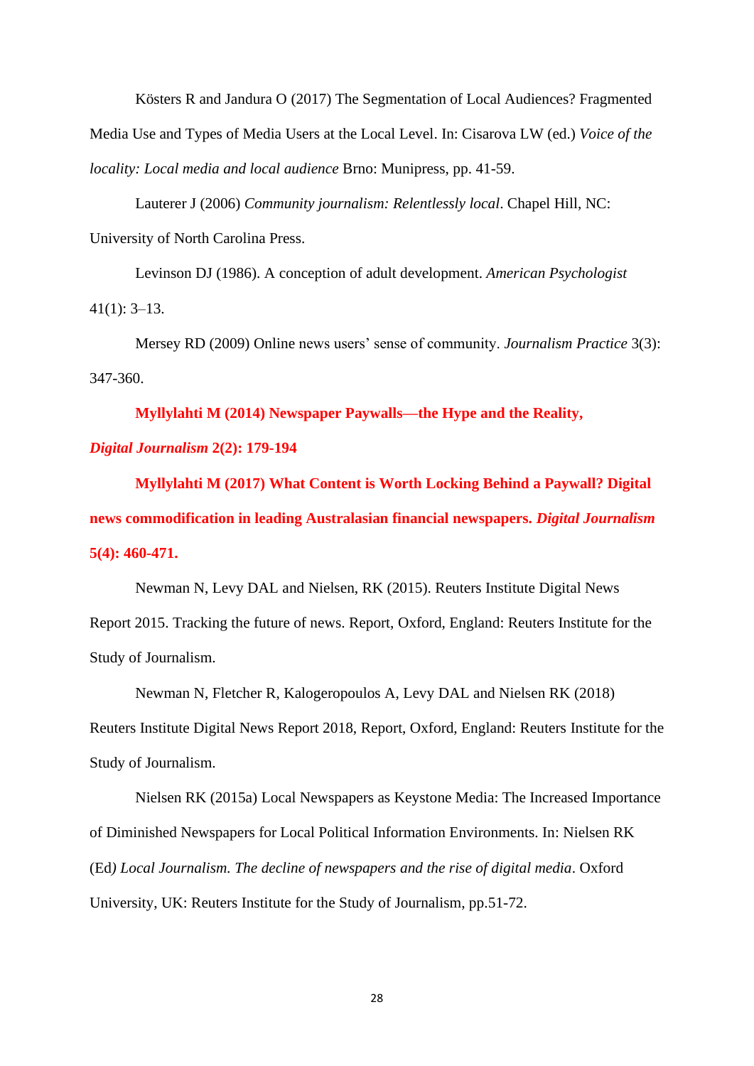Kösters R and Jandura O (2017) The Segmentation of Local Audiences? Fragmented Media Use and Types of Media Users at the Local Level. In: Cisarova LW (ed.) *Voice of the locality: Local media and local audience* Brno: Munipress, pp. 41-59.

Lauterer J (2006) *Community journalism: Relentlessly local*. Chapel Hill, NC: University of North Carolina Press.

Levinson DJ (1986). A conception of adult development. *American Psychologist*  $41(1): 3-13.$ 

Mersey RD (2009) Online news users' sense of community. *Journalism Practice* 3(3): 347-360.

**Myllylahti M (2014) Newspaper Paywalls—the Hype and the Reality,** *Digital Journalism* **2(2): 179-194** 

**Myllylahti M (2017) What Content is Worth Locking Behind a Paywall? Digital news commodification in leading Australasian financial newspapers.** *Digital Journalism* **5(4): 460-471.**

Newman N, Levy DAL and Nielsen, RK (2015). Reuters Institute Digital News Report 2015. Tracking the future of news. Report, Oxford, England: Reuters Institute for the Study of Journalism.

Newman N, Fletcher R, Kalogeropoulos A, Levy DAL and Nielsen RK (2018) Reuters Institute Digital News Report 2018, Report, Oxford, England: Reuters Institute for the Study of Journalism.

Nielsen RK (2015a) Local Newspapers as Keystone Media: The Increased Importance of Diminished Newspapers for Local Political Information Environments. In: Nielsen RK (Ed*) Local Journalism. The decline of newspapers and the rise of digital media*. Oxford University, UK: Reuters Institute for the Study of Journalism, pp.51-72.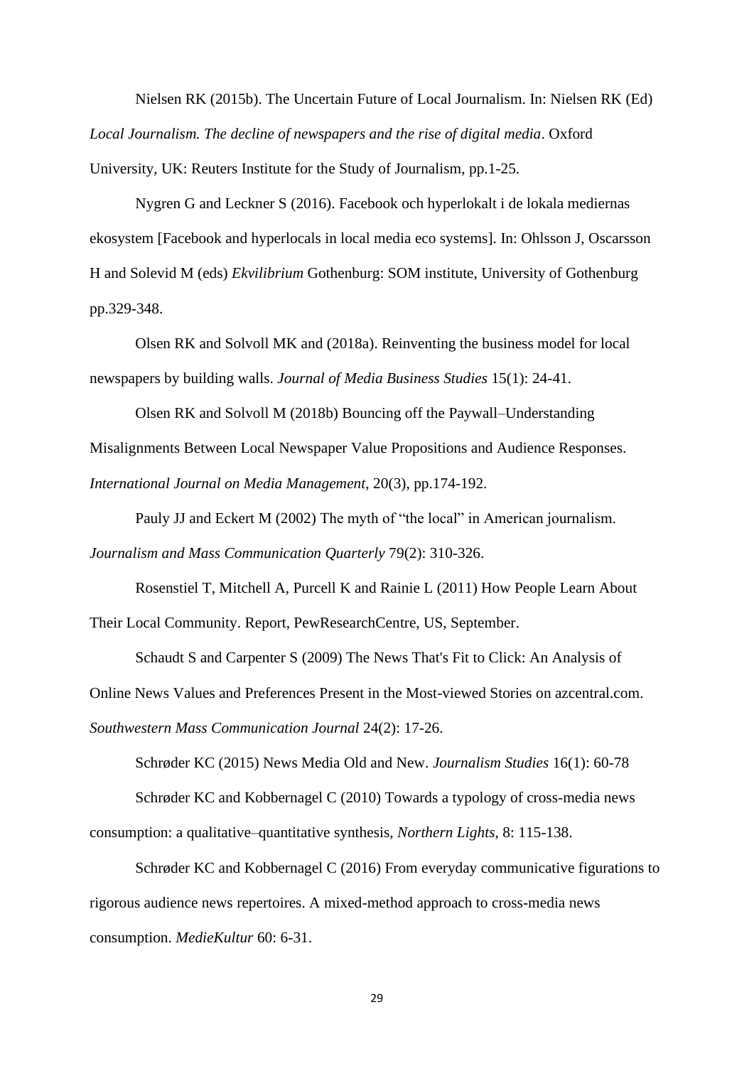Nielsen RK (2015b). The Uncertain Future of Local Journalism. In: Nielsen RK (Ed) *Local Journalism. The decline of newspapers and the rise of digital media*. Oxford University, UK: Reuters Institute for the Study of Journalism, pp.1-25.

Nygren G and Leckner S (2016). Facebook och hyperlokalt i de lokala mediernas ekosystem [Facebook and hyperlocals in local media eco systems]. In: Ohlsson J, Oscarsson H and Solevid M (eds) *Ekvilibrium* Gothenburg: SOM institute, University of Gothenburg pp.329-348.

Olsen RK and Solvoll MK and (2018a). Reinventing the business model for local newspapers by building walls. *Journal of Media Business Studies* 15(1): 24-41.

Olsen RK and Solvoll M (2018b) Bouncing off the Paywall–Understanding Misalignments Between Local Newspaper Value Propositions and Audience Responses. *International Journal on Media Management*, 20(3), pp.174-192.

Pauly JJ and Eckert M (2002) The myth of "the local" in American journalism. *Journalism and Mass Communication Quarterly* 79(2): 310-326.

Rosenstiel T, Mitchell A, Purcell K and Rainie L (2011) How People Learn About Their Local Community. Report, PewResearchCentre, US, September.

Schaudt S and Carpenter S (2009) The News That's Fit to Click: An Analysis of

Online News Values and Preferences Present in the Most-viewed Stories on azcentral.com.

*Southwestern Mass Communication Journal* 24(2): 17-26.

Schrøder KC (2015) News Media Old and New. *Journalism Studies* 16(1): 60-78

Schrøder KC and Kobbernagel C (2010) Towards a typology of cross-media news

consumption: a qualitative–quantitative synthesis, *Northern Lights*, 8: 115-138.

Schrøder KC and Kobbernagel C (2016) From everyday communicative figurations to rigorous audience news repertoires. A mixed-method approach to cross-media news consumption. *MedieKultur* 60: 6-31.